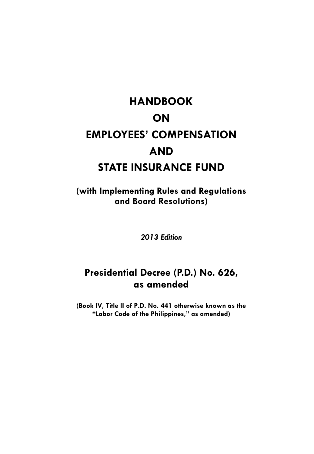# **HANDBOOK ON EMPLOYEES' COMPENSATION AND STATE INSURANCE FUND**

**(with Implementing Rules and Regulations and Board Resolutions)** 

*2013 Edition* 

# **Presidential Decree (P.D.) No. 626, as amended**

**(Book IV, Title II of P.D. No. 441 otherwise known as the "Labor Code of the Philippines," as amended)**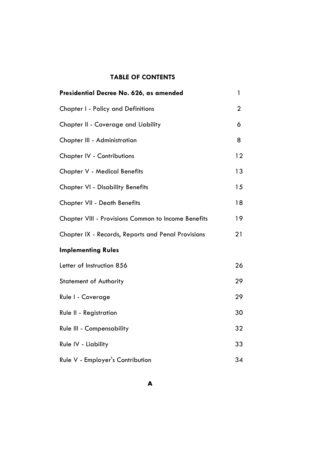# **TABLE OF CONTENTS**

| Presidential Decree No. 626, as amended             | 1            |
|-----------------------------------------------------|--------------|
| Chapter I - Policy and Definitions                  | $\mathbf{2}$ |
| Chapter II - Coverage and Liability                 | 6            |
| Chapter III - Administration                        | 8            |
| <b>Chapter IV - Contributions</b>                   | 12           |
| <b>Chapter V - Medical Benefits</b>                 | 13           |
| <b>Chapter VI - Disability Benefits</b>             | 15           |
| <b>Chapter VII - Death Benefits</b>                 | 18           |
| Chapter VIII - Provisions Common to Income Benefits | 19           |
| Chapter IX - Records, Reports and Penal Provisions  | 21           |
| <b>Implementing Rules</b>                           |              |
| Letter of Instruction 856                           | 26           |
| <b>Statement of Authority</b>                       | 29           |
| Rule I - Coverage                                   | 29           |
| Rule II - Registration                              | 30           |
| Rule III - Compensability                           | 32           |
| Rule IV - Liability                                 | 33           |
| Rule V - Employer's Contribution                    | 34           |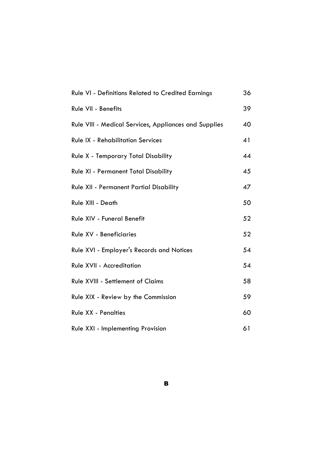| Rule VI - Definitions Related to Credited Earnings    | 36 |
|-------------------------------------------------------|----|
| Rule VII - Benefits                                   | 39 |
| Rule VIII - Medical Services, Appliances and Supplies | 40 |
| <b>Rule IX - Rehabilitation Services</b>              | 41 |
| <b>Rule X - Temporary Total Disability</b>            | 44 |
| <b>Rule XI - Permanent Total Disability</b>           | 45 |
| <b>Rule XII - Permanent Partial Disability</b>        | 47 |
| Rule XIII - Death                                     | 50 |
| Rule XIV - Funeral Benefit                            | 52 |
| Rule XV - Beneficiaries                               | 52 |
| <b>Rule XVI - Employer's Records and Notices</b>      | 54 |
| Rule XVII - Accreditation                             | 54 |
| Rule XVIII - Settlement of Claims                     | 58 |
| Rule XIX - Review by the Commission                   | 59 |
| <b>Rule XX - Penalties</b>                            | 60 |
| Rule XXI - Implementing Provision                     | 61 |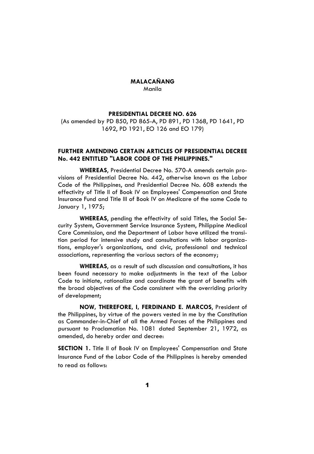# **MALACAÑANG**  Manila

#### **PRESIDENTIAL DECREE NO. 626**

(As amended by PD 850, PD 865-A, PD 891, PD 1368, PD 1641, PD 1692, PD 1921, EO 126 and EO 179)

# **FURTHER AMENDING CERTAIN ARTICLES OF PRESIDENTIAL DECREE No. 442 ENTITLED "LABOR CODE OF THE PHILIPPINES."**

**WHEREAS**, Presidential Decree No. 570-A amends certain provisions of Presidential Decree No. 442, otherwise known as the Labor Code of the Philippines, and Presidential Decree No. 608 extends the effectivity of Title II of Book IV on Employees' Compensation and State Insurance Fund and Title III of Book IV on Medicare of the same Code to January 1, 1975;

**WHEREAS**, pending the effectivity of said Titles, the Social Security System, Government Service Insurance System, Philippine Medical Care Commission, and the Department of Labor have utilized the transition period for intensive study and consultations with labor organizations, employer's organizations, and civic, professional and technical associations, representing the various sectors of the economy;

**WHEREAS**, as a result of such discussion and consultations, it has been found necessary to make adjustments in the text of the Labor Code to initiate, rationalize and coordinate the grant of benefits with the broad objectives of the Code consistent with the overriding priority of development;

**NOW, THEREFORE, I, FERDINAND E. MARCOS**, President of the Philippines, by virtue of the powers vested in me by the Constitution as Commander-in-Chief of all the Armed Forces of the Philippines and pursuant to Proclamation No. 1081 dated September 21, 1972, as amended, do hereby order and decree:

**SECTION 1.** Title II of Book IV on Employees' Compensation and State Insurance Fund of the Labor Code of the Philippines is hereby amended to read as follows: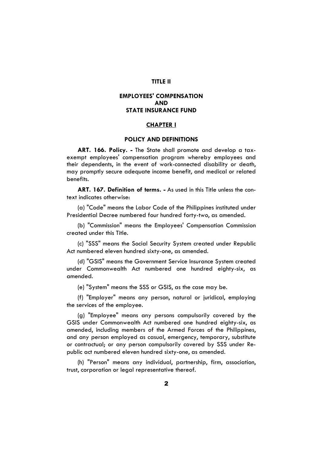# **TITLE II**

# **EMPLOYEES' COMPENSATION AND STATE INSURANCE FUND**

# **CHAPTER I**

# **POLICY AND DEFINITIONS**

**ART. 166. Policy. -** The State shall promote and develop a taxexempt employees' compensation program whereby employees and their dependents, in the event of work-connected disability or death, may promptly secure adequate income benefit, and medical or related benefits.

**ART. 167. Definition of terms. -** As used in this Title unless the context indicates otherwise:

(a) "Code" means the Labor Code of the Philippines instituted under Presidential Decree numbered four hundred forty-two, as amended.

(b) "Commission" means the Employees' Compensation Commission created under this Title.

(c) "SSS" means the Social Security System created under Republic Act numbered eleven hundred sixty-one, as amended.

(d) "GSIS" means the Government Service Insurance System created under Commonwealth Act numbered one hundred eighty-six, as amended.

(e) "System" means the SSS or GSIS, as the case may be.

(f) "Employer" means any person, natural or juridical, employing the services of the employee.

(g) "Employee" means any persons compulsorily covered by the GSIS under Commonwealth Act numbered one hundred eighty-six, as amended, including members of the Armed Forces of the Philippines, and any person employed as casual, emergency, temporary, substitute or contractual; or any person compulsorily covered by SSS under Republic act numbered eleven hundred sixty-one, as amended.

(h) "Person" means any individual, partnership, firm, association, trust, corporation or legal representative thereof.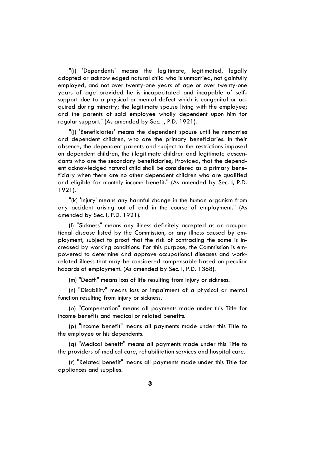"(i) 'Dependents' means the legitimate, legitimated, legally adopted or acknowledged natural child who is unmarried, not gainfully employed, and not over twenty-one years of age or over twenty-one years of age provided he is incapacitated and incapable of selfsupport due to a physical or mental defect which is congenital or acquired during minority; the legitimate spouse living with the employee; and the parents of said employee wholly dependent upon him for regular support." (As amended by Sec. I, P.D. 1921).

"(j) 'Beneficiaries' means the dependent spouse until he remarries and dependent children, who are the primary beneficiaries. In their absence, the dependent parents and subject to the restrictions imposed on dependent children, the illegitimate children and legitimate descendants who are the secondary beneficiaries; Provided, that the dependent acknowledged natural child shall be considered as a primary beneficiary when there are no other dependent children who are qualified and eligible for monthly income benefit." (As amended by Sec. I, P.D. 1921).

"(k) 'Injury' means any harmful change in the human organism from any accident arising out of and in the course of employment." (As amended by Sec. I, P.D. 1921).

(l) "Sickness" means any illness definitely accepted as an occupational disease listed by the Commission, or any illness caused by employment, subject to proof that the risk of contracting the same is increased by working conditions. For this purpose, the Commission is empowered to determine and approve occupational diseases and workrelated illness that may be considered compensable based on peculiar hazards of employment. (As amended by Sec. I, P.D. 1368).

(m) "Death" means loss of life resulting from injury or sickness.

(n) "Disability" means loss or impairment of a physical or mental function resulting from injury or sickness.

(o) "Compensation" means all payments made under this Title for income benefits and medical or related benefits.

(p) "Income benefit" means all payments made under this Title to the employee or his dependents.

(q) "Medical benefit" means all payments made under this Title to the providers of medical care, rehabilitation services and hospital care.

(r) "Related benefit" means all payments made under this Title for appliances and supplies.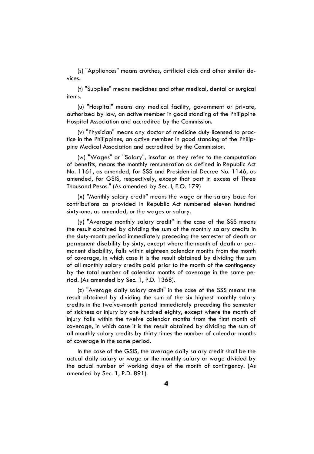(s) "Appliances" means crutches, artificial aids and other similar devices.

(t) "Supplies" means medicines and other medical, dental or surgical items.

(u) "Hospital" means any medical facility, government or private, authorized by law, an active member in good standing of the Philippine Hospital Association and accredited by the Commission.

(v) "Physician" means any doctor of medicine duly licensed to practice in the Philippines, an active member in good standing of the Philippine Medical Association and accredited by the Commission.

(w) "Wages" or "Salary", insofar as they refer to the computation of benefits, means the monthly remuneration as defined in Republic Act No. 1161, as amended, for SSS and Presidential Decree No. 1146, as amended, for GSIS, respectively, except that part in excess of Three Thousand Pesos." (As amended by Sec. I, E.O. 179)

(x) "Monthly salary credit" means the wage or the salary base for contributions as provided in Republic Act numbered eleven hundred sixty-one, as amended, or the wages or salary.

(y) "Average monthly salary credit" in the case of the SSS means the result obtained by dividing the sum of the monthly salary credits in the sixty-month period immediately preceding the semester of death or permanent disability by sixty, except where the month of death or permanent disability, falls within eighteen calendar months from the month of coverage, in which case it is the result obtained by dividing the sum of all monthly salary credits paid prior to the month of the contingency by the total number of calendar months of coverage in the same period. (As amended by Sec. 1, P.D. 1368).

(z) "Average daily salary credit" in the case of the SSS means the result obtained by dividing the sum of the six highest monthly salary credits in the twelve-month period immediately preceding the semester of sickness or injury by one hundred eighty, except where the month of injury falls within the twelve calendar months from the first month of coverage, in which case it is the result obtained by dividing the sum of all monthly salary credits by thirty times the number of calendar months of coverage in the same period.

In the case of the GSIS, the average daily salary credit shall be the actual daily salary or wage or the monthly salary or wage divided by the actual number of working days of the month of contingency. (As amended by Sec. 1, P.D. 891).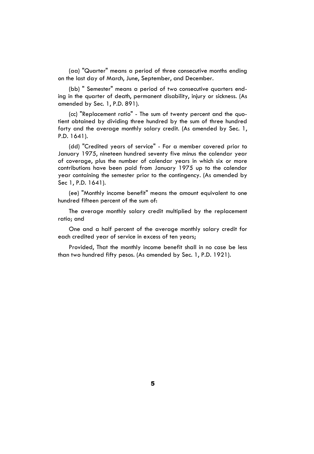(aa) "Quarter" means a period of three consecutive months ending on the last day of March, June, September, and December.

(bb) " Semester" means a period of two consecutive quarters ending in the quarter of death, permanent disability, injury or sickness. (As amended by Sec. 1, P.D. 891).

(cc) "Replacement ratio" - The sum of twenty percent and the quotient obtained by dividing three hundred by the sum of three hundred forty and the average monthly salary credit. (As amended by Sec. 1, P.D. 1641).

(dd) "Credited years of service" - For a member covered prior to January 1975, nineteen hundred seventy five minus the calendar year of coverage, plus the number of calendar years in which six or more contributions have been paid from January 1975 up to the calendar year containing the semester prior to the contingency. (As amended by Sec 1, P.D. 1641).

(ee) "Monthly income benefit" means the amount equivalent to one hundred fifteen percent of the sum of:

The average monthly salary credit multiplied by the replacement ratio; and

One and a half percent of the average monthly salary credit for each credited year of service in excess of ten years;

Provided, That the monthly income benefit shall in no case be less than two hundred fifty pesos. (As amended by Sec. 1, P.D. 1921).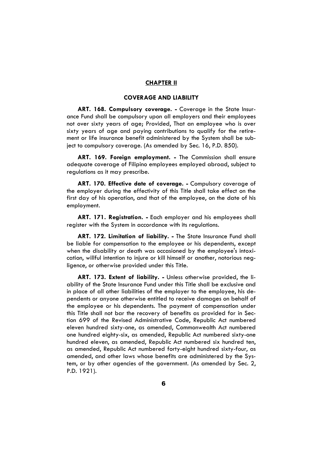#### **CHAPTER II**

# **COVERAGE AND LIABILITY**

ART. 168. Compulsory coverage. - Coverage in the State Insurance Fund shall be compulsory upon all employers and their employees not over sixty years of age; Provided, That an employee who is over sixty years of age and paying contributions to qualify for the retirement or life insurance benefit administered by the System shall be subject to compulsory coverage. (As amended by Sec. 16, P.D. 850).

**ART. 169. Foreign employment. -** The Commission shall ensure adequate coverage of Filipino employees employed abroad, subject to regulations as it may prescribe.

**ART. 170. Effective date of coverage. -** Compulsory coverage of the employer during the effectivity of this Title shall take effect on the first day of his operation, and that of the employee, on the date of his employment.

**ART. 171. Registration. -** Each employer and his employees shall register with the System in accordance with its regulations.

**ART. 172. Limitation of liability. -** The State Insurance Fund shall be liable for compensation to the employee or his dependents, except when the disability or death was occasioned by the employee's intoxication, willful intention to injure or kill himself or another, notorious negligence, or otherwise provided under this Title.

**ART. 173. Extent of liability. -** Unless otherwise provided, the liability of the State Insurance Fund under this Title shall be exclusive and in place of all other liabilities of the employer to the employee, his dependents or anyone otherwise entitled to receive damages on behalf of the employee or his dependents. The payment of compensation under this Title shall not bar the recovery of benefits as provided for in Section 699 of the Revised Administrative Code, Republic Act numbered eleven hundred sixty-one, as amended, Commonwealth Act numbered one hundred eighty-six, as amended, Republic Act numbered sixty-one hundred eleven, as amended, Republic Act numbered six hundred ten, as amended, Republic Act numbered forty-eight hundred sixty-four, as amended, and other laws whose benefits are administered by the System, or by other agencies of the government. (As amended by Sec. 2, P.D. 1921).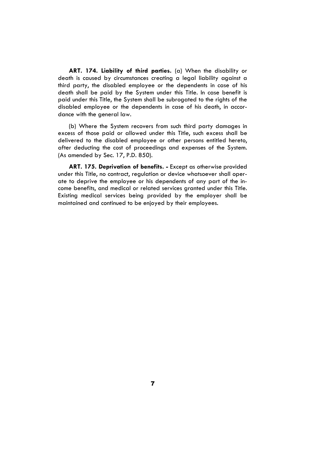**ART. 174. Liability of third parties.** (a) When the disability or death is caused by circumstances creating a legal liability against a third party, the disabled employee or the dependents in case of his death shall be paid by the System under this Title. In case benefit is paid under this Title, the System shall be subrogated to the rights of the disabled employee or the dependents in case of his death, in accordance with the general law.

(b) Where the System recovers from such third party damages in excess of those paid or allowed under this Title, such excess shall be delivered to the disabled employee or other persons entitled hereto, after deducting the cost of proceedings and expenses of the System. (As amended by Sec. 17, P.D. 850).

**ART. 175. Deprivation of benefits. -** Except as otherwise provided under this Title, no contract, regulation or device whatsoever shall operate to deprive the employee or his dependents of any part of the income benefits, and medical or related services granted under this Title. Existing medical services being provided by the employer shall be maintained and continued to be enjoyed by their employees.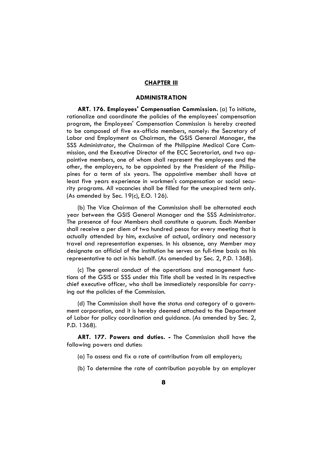# **CHAPTER III**

# **ADMINISTRATION**

**ART. 176. Employees' Compensation Commission.** (a) To initiate, rationalize and coordinate the policies of the employees' compensation program, the Employees' Compensation Commission is hereby created to be composed of five ex-officio members, namely: the Secretary of Labor and Employment as Chairman, the GSIS General Manager, the SSS Administrator, the Chairman of the Philippine Medical Care Commission, and the Executive Director of the ECC Secretariat, and two appointive members, one of whom shall represent the employees and the other, the employers, to be appointed by the President of the Philippines for a term of six years. The appointive member shall have at least five years experience in workmen's compensation or social security programs. All vacancies shall be filled for the unexpired term only. (As amended by Sec. 19(c), E.O. 126).

(b) The Vice Chairman of the Commission shall be alternated each year between the GSIS General Manager and the SSS Administrator. The presence of four Members shall constitute a quorum. Each Member shall receive a per diem of two hundred pesos for every meeting that is actually attended by him, exclusive of actual, ordinary and necessary travel and representation expenses. In his absence, any Member may designate an official of the institution he serves on full-time basis as his representative to act in his behalf. (As amended by Sec. 2, P.D. 1368).

(c) The general conduct of the operations and management functions of the GSIS or SSS under this Title shall be vested in its respective chief executive officer, who shall be immediately responsible for carrying out the policies of the Commission.

(d) The Commission shall have the status and category of a government corporation, and it is hereby deemed attached to the Department of Labor for policy coordination and guidance. (As amended by Sec. 2, P.D. 1368).

**ART. 177. Powers and duties. -** The Commission shall have the following powers and duties:

- (a) To assess and fix a rate of contribution from all employers;
- (b) To determine the rate of contribution payable by an employer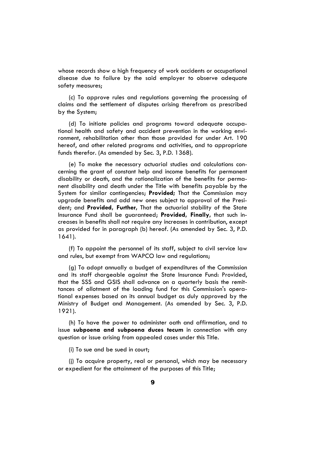whose records show a high frequency of work accidents or occupational disease due to failure by the said employer to observe adequate safety measures;

(c) To approve rules and regulations governing the processing of claims and the settlement of disputes arising therefrom as prescribed by the System;

(d) To initiate policies and programs toward adequate occupational health and safety and accident prevention in the working environment, rehabilitation other than those provided for under Art. 190 hereof, and other related programs and activities, and to appropriate funds therefor. (As amended by Sec. 3, P.D. 1368).

(e) To make the necessary actuarial studies and calculations concerning the grant of constant help and income benefits for permanent disability or death, and the rationalization of the benefits for permanent disability and death under the Title with benefits payable by the System for similar contingencies; **Provided;** That the Commission may upgrade benefits and add new ones subject to approval of the President; and **Provided, Further,** That the actuarial stability of the State Insurance Fund shall be guaranteed; **Provided, Finally,** that such increases in benefits shall not require any increases in contribution, except as provided for in paragraph (b) hereof. (As amended by Sec. 3, P.D. 1641).

(f) To appoint the personnel of its staff, subject to civil service law and rules, but exempt from WAPCO law and regulations;

(g) To adopt annually a budget of expenditures of the Commission and its staff chargeable against the State Insurance Fund: Provided, that the SSS and GSIS shall advance on a quarterly basis the remittances of allotment of the loading fund for this Commission's operational expenses based on its annual budget as duly approved by the Ministry of Budget and Management. (As amended by Sec. 3, P.D. 1921).

(h) To have the power to administer oath and affirmation, and to issue **subpoena and subpoena duces tecum** in connection with any question or issue arising from appealed cases under this Title.

(i) To sue and be sued in court;

(j) To acquire property, real or personal, which may be necessary or expedient for the attainment of the purposes of this Title;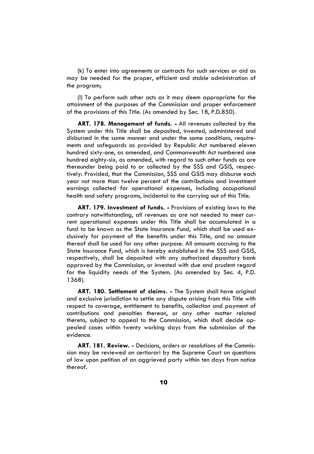(k) To enter into agreements or contracts for such services or aid as may be needed for the proper, efficient and stable administration of the program;

(l) To perform such other acts as it may deem appropriate for the attainment of the purposes of the Commission and proper enforcement of the provisions of this Title. (As amended by Sec. 18, P.D.850).

**ART. 178. Management of funds. -** All revenues collected by the System under this Title shall be deposited, invested, administered and disbursed in the same manner and under the same conditions, requirements and safeguards as provided by Republic Act numbered eleven hundred sixty-one, as amended, and Commonwealth Act numbered one hundred eighty-six, as amended, with regard to such other funds as are thereunder being paid to or collected by the SSS and GSIS, respectively: Provided, that the Commission, SSS and GSIS may disburse each year not more than twelve percent of the contributions and investment earnings collected for operational expenses, including occupational health and safety programs, incidental to the carrying out of this Title.

**ART. 179. Investment of funds. -** Provisions of existing laws to the contrary notwithstanding, all revenues as are not needed to meet current operational expenses under this Title shall be accumulated in a fund to be known as the State Insurance Fund, which shall be used exclusively for payment of the benefits under this Title, and no amount thereof shall be used for any other purpose. All amounts accruing to the State Insurance Fund, which is hereby established in the SSS and GSIS, respectively, shall be deposited with any authorized depository bank approved by the Commission, or invested with due and prudent regard for the liquidity needs of the System. (As amended by Sec. 4, P.D. 1368).

**ART. 180. Settlement of claims. -** The System shall have original and exclusive jurisdiction to settle any dispute arising from this Title with respect to coverage, entitlement to benefits, collection and payment of contributions and penalties thereon, or any other matter related thereto, subject to appeal to the Commission, which shall decide appealed cases within twenty working days from the submission of the evidence.

**ART. 181. Review. -** Decisions, orders or resolutions of the Commission may be reviewed on certiorari by the Supreme Court on questions of law upon petition of an aggrieved party within ten days from notice thereof.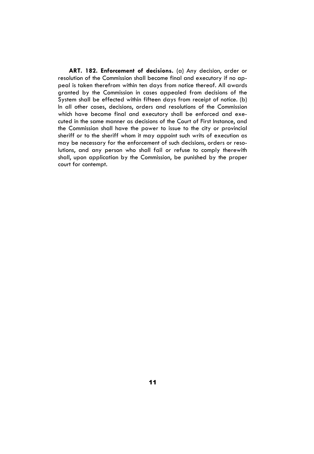**ART. 182. Enforcement of decisions.** (a) Any decision, order or resolution of the Commission shall become final and executory if no appeal is taken therefrom within ten days from notice thereof. All awards granted by the Commission in cases appealed from decisions of the System shall be effected within fifteen days from receipt of notice. (b) In all other cases, decisions, orders and resolutions of the Commission which have become final and executory shall be enforced and executed in the same manner as decisions of the Court of First Instance, and the Commission shall have the power to issue to the city or provincial sheriff or to the sheriff whom it may appoint such writs of execution as may be necessary for the enforcement of such decisions, orders or resolutions, and any person who shall fail or refuse to comply therewith shall, upon application by the Commission, be punished by the proper court for contempt.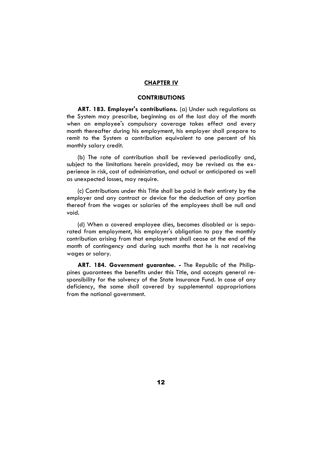#### **CHAPTER IV**

# **CONTRIBUTIONS**

**ART. 183. Employer's contributions.** (a) Under such regulations as the System may prescribe, beginning as of the last day of the month when an employee's compulsory coverage takes effect and every month thereafter during his employment, his employer shall prepare to remit to the System a contribution equivalent to one percent of his monthly salary credit.

(b) The rate of contribution shall be reviewed periodically and, subject to the limitations herein provided, may be revised as the experience in risk, cost of administration, and actual or anticipated as well as unexpected losses, may require.

(c) Contributions under this Title shall be paid in their entirety by the employer and any contract or device for the deduction of any portion thereof from the wages or salaries of the employees shall be null and void.

(d) When a covered employee dies, becomes disabled or is separated from employment, his employer's obligation to pay the monthly contribution arising from that employment shall cease at the end of the month of contingency and during such months that he is not receiving wages or salary.

**ART. 184. Government guarantee. -** The Republic of the Philippines guarantees the benefits under this Title, and accepts general responsibility for the solvency of the State Insurance Fund. In case of any deficiency, the same shall covered by supplemental appropriations from the national government.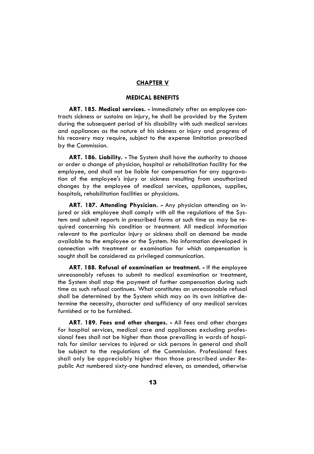# **CHAPTER V**

# **MEDICAL BENEFITS**

**ART. 185. Medical services. -** Immediately after an employee contracts sickness or sustains an injury, he shall be provided by the System during the subsequent period of his disability with such medical services and appliances as the nature of his sickness or injury and progress of his recovery may require, subject to the expense limitation prescribed by the Commission.

**ART. 186. Liability. -** The System shall have the authority to choose or order a change of physician, hospital or rehabilitation facility for the employee, and shall not be liable for compensation for any aggravation of the employee's injury or sickness resulting from unauthorized changes by the employee of medical services, appliances, supplies, hospitals, rehabilitation facilities or physicians.

**ART. 187. Attending Physician. -** Any physician attending an injured or sick employee shall comply with all the regulations of the System and submit reports in prescribed forms at such time as may be required concerning his condition or treatment. All medical information relevant to the particular injury or sickness shall on demand be made available to the employee or the System. No information developed in connection with treatment or examination for which compensation is sought shall be considered as privileged communication.

**ART. 188. Refusal of examination or treatment. -** If the employee unreasonably refuses to submit to medical examination or treatment, the System shall stop the payment of further compensation during such time as such refusal continues. What constitutes an unreasonable refusal shall be determined by the System which may on its own initiative determine the necessity, character and sufficiency of any medical services furnished or to be furnished.

**ART. 189. Fees and other charges. -** All fees and other charges for hospital services, medical care and appliances excluding professional fees shall not be higher than those prevailing in wards of hospitals for similar services to injured or sick persons in general and shall be subject to the regulations of the Commission. Professional fees shall only be appreciably higher than those prescribed under Republic Act numbered sixty-one hundred eleven, as amended, otherwise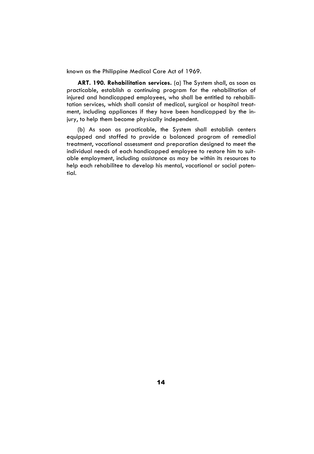known as the Philippine Medical Care Act of 1969.

**ART. 190. Rehabilitation services.** (a) The System shall, as soon as practicable, establish a continuing program for the rehabilitation of injured and handicapped employees, who shall be entitled to rehabilitation services, which shall consist of medical, surgical or hospital treatment, including appliances if they have been handicapped by the injury, to help them become physically independent.

(b) As soon as practicable, the System shall establish centers equipped and staffed to provide a balanced program of remedial treatment, vocational assessment and preparation designed to meet the individual needs of each handicapped employee to restore him to suitable employment, including assistance as may be within its resources to help each rehabilitee to develop his mental, vocational or social potential.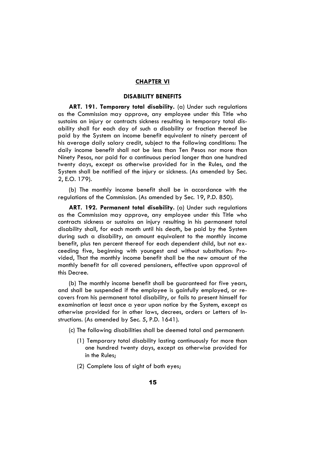# **CHAPTER VI**

# **DISABILITY BENEFITS**

**ART. 191. Temporary total disability.** (a) Under such regulations as the Commission may approve, any employee under this Title who sustains an injury or contracts sickness resulting in temporary total disability shall for each day of such a disability or fraction thereof be paid by the System an income benefit equivalent to ninety percent of his average daily salary credit, subject to the following conditions: The daily income benefit shall not be less than Ten Pesos nor more than Ninety Pesos, nor paid for a continuous period longer than one hundred twenty days, except as otherwise provided for in the Rules, and the System shall be notified of the injury or sickness. (As amended by Sec. 2, E.O. 179).

(b) The monthly income benefit shall be in accordance with the regulations of the Commission. (As amended by Sec. 19, P.D. 850).

**ART. 192. Permanent total disability.** (a) Under such regulations as the Commission may approve, any employee under this Title who contracts sickness or sustains an injury resulting in his permanent total disability shall, for each month until his death, be paid by the System during such a disability, an amount equivalent to the monthly income benefit, plus ten percent thereof for each dependent child, but not exceeding five, beginning with youngest and without substitution: Provided, That the monthly income benefit shall be the new amount of the monthly benefit for all covered pensioners, effective upon approval of this Decree.

(b) The monthly income benefit shall be guaranteed for five years, and shall be suspended if the employee is gainfully employed, or recovers from his permanent total disability, or fails to present himself for examination at least once a year upon notice by the System, except as otherwise provided for in other laws, decrees, orders or Letters of Instructions. (As amended by Sec. 5, P.D. 1641).

- (c) The following disabilities shall be deemed total and permanent:
	- (1) Temporary total disability lasting continuously for more than one hundred twenty days, except as otherwise provided for in the Rules;
	- (2) Complete loss of sight of both eyes;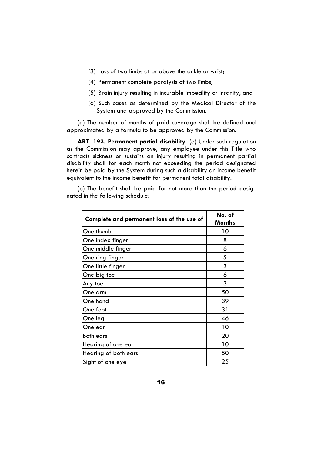- (3) Loss of two limbs at or above the ankle or wrist;
- (4) Permanent complete paralysis of two limbs;
- (5) Brain injury resulting in incurable imbecility or insanity; and
- (6) Such cases as determined by the Medical Director of the System and approved by the Commission.

(d) The number of months of paid coverage shall be defined and approximated by a formula to be approved by the Commission.

**ART. 193. Permanent partial disability.** (a) Under such regulation as the Commission may approve, any employee under this Title who contracts sickness or sustains an injury resulting in permanent partial disability shall for each month not exceeding the period designated herein be paid by the System during such a disability an income benefit equivalent to the income benefit for permanent total disability.

(b) The benefit shall be paid for not more than the period designated in the following schedule:

| Complete and permanent loss of the use of | No. of<br><b>Months</b> |
|-------------------------------------------|-------------------------|
| One thumb                                 | 10                      |
| One index finger                          | 8                       |
| One middle finger                         | 6                       |
| One ring finger                           | 5                       |
| One little finger                         | 3                       |
| One big toe                               | 6                       |
| Any toe                                   | 3                       |
| One arm                                   | 50                      |
| One hand                                  | 39                      |
| One foot                                  | 31                      |
| One leg                                   | 46                      |
| One ear                                   | 10                      |
| <b>Both ears</b>                          | 20                      |
| Hearing of one ear                        | 10                      |
| Hearing of both ears                      | 50                      |
| Sight of one eye                          | 25                      |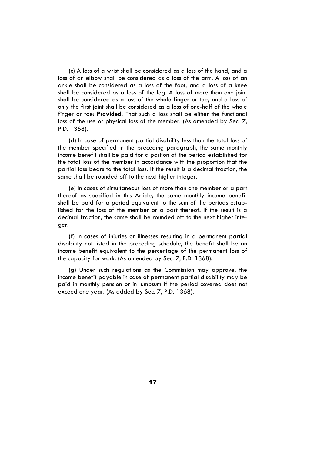(c) A loss of a wrist shall be considered as a loss of the hand, and a loss of an elbow shall be considered as a loss of the arm. A loss of an ankle shall be considered as a loss of the foot, and a loss of a knee shall be considered as a loss of the leg. A loss of more than one joint shall be considered as a loss of the whole finger or toe, and a loss of only the first joint shall be considered as a loss of one-half of the whole finger or toe: **Provided,** That such a loss shall be either the functional loss of the use or physical loss of the member. (As amended by Sec. 7, P.D. 1368).

(d) In case of permanent partial disability less than the total loss of the member specified in the preceding paragraph, the same monthly income benefit shall be paid for a portion of the period established for the total loss of the member in accordance with the proportion that the partial loss bears to the total loss. If the result is a decimal fraction, the same shall be rounded off to the next higher integer.

(e) In cases of simultaneous loss of more than one member or a part thereof as specified in this Article, the same monthly income benefit shall be paid for a period equivalent to the sum of the periods established for the loss of the member or a part thereof. If the result is a decimal fraction, the same shall be rounded off to the next higher integer.

(f) In cases of injuries or illnesses resulting in a permanent partial disability not listed in the preceding schedule, the benefit shall be an income benefit equivalent to the percentage of the permanent loss of the capacity for work. (As amended by Sec. 7, P.D. 1368).

(g) Under such regulations as the Commission may approve, the income benefit payable in case of permanent partial disability may be paid in monthly pension or in lumpsum if the period covered does not exceed one year. (As added by Sec. 7, P.D. 1368).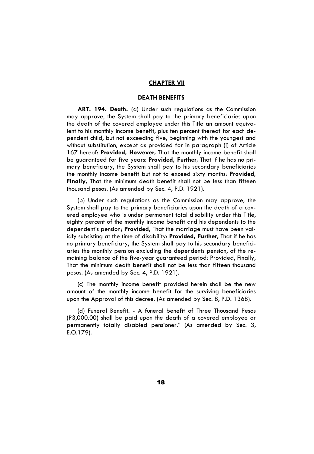#### **CHAPTER VII**

# **DEATH BENEFITS**

**ART. 194. Death.** (a) Under such regulations as the Commission may approve, the System shall pay to the primary beneficiaries upon the death of the covered employee under this Title an amount equivalent to his monthly income benefit, plus ten percent thereof for each dependent child, but not exceeding five, beginning with the youngest and without substitution, except as provided for in paragraph (i) of Article 167 hereof: **Provided, However,** That the monthly income benefit shall be guaranteed for five years: **Provided, Further,** That if he has no primary beneficiary, the System shall pay to his secondary beneficiaries the monthly income benefit but not to exceed sixty months: **Provided, Finally,** That the minimum death benefit shall not be less than fifteen thousand pesos. (As amended by Sec. 4, P.D. 1921).

(b) Under such regulations as the Commission may approve, the System shall pay to the primary beneficiaries upon the death of a covered employee who is under permanent total disability under this Title, eighty percent of the monthly income benefit and his dependents to the dependent's pension; **Provided,** That the marriage must have been validly subsisting at the time of disability: **Provided, Further,** That if he has no primary beneficiary, the System shall pay to his secondary beneficiaries the monthly pension excluding the dependents pension, of the remaining balance of the five-year guaranteed period: Provided, Finally, That the minimum death benefit shall not be less than fifteen thousand pesos. (As amended by Sec. 4, P.D. 1921).

(c) The monthly income benefit provided herein shall be the new amount of the monthly income benefit for the surviving beneficiaries upon the Approval of this decree. (As amended by Sec. 8, P.D. 1368).

(d) Funeral Benefit. - A funeral benefit of Three Thousand Pesos (P3,000.00) shall be paid upon the death of a covered employee or permanently totally disabled pensioner." (As amended by Sec. 3, E.O.179).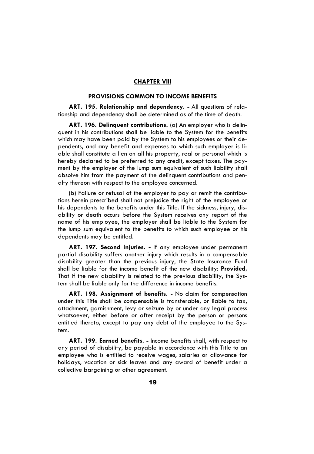# **CHAPTER VIII**

# **PROVISIONS COMMON TO INCOME BENEFITS**

**ART. 195. Relationship and dependency. -** All questions of relationship and dependency shall be determined as of the time of death.

**ART. 196. Delinquent contributions.** (a) An employer who is delinquent in his contributions shall be liable to the System for the benefits which may have been paid by the System to his employees or their dependents, and any benefit and expenses to which such employer is liable shall constitute a lien on all his property, real or personal which is hereby declared to be preferred to any credit, except taxes. The payment by the employer of the lump sum equivalent of such liability shall absolve him from the payment of the delinquent contributions and penalty thereon with respect to the employee concerned.

(b) Failure or refusal of the employer to pay or remit the contributions herein prescribed shall not prejudice the right of the employee or his dependents to the benefits under this Title. If the sickness, injury, disability or death occurs before the System receives any report of the name of his employee, the employer shall be liable to the System for the lump sum equivalent to the benefits to which such employee or his dependents may be entitled.

**ART. 197. Second injuries. -** If any employee under permanent partial disability suffers another injury which results in a compensable disability greater than the previous injury, the State Insurance Fund shall be liable for the income benefit of the new disability: **Provided,** That if the new disability is related to the previous disability, the System shall be liable only for the difference in income benefits.

**ART. 198. Assignment of benefits. -** No claim for compensation under this Title shall be compensable is transferable, or liable to tax, attachment, garnishment, levy or seizure by or under any legal process whatsoever, either before or after receipt by the person or persons entitled thereto, except to pay any debt of the employee to the System.

**ART. 199. Earned benefits. -** Income benefits shall, with respect to any period of disability, be payable in accordance with this Title to an employee who is entitled to receive wages, salaries or allowance for holidays, vacation or sick leaves and any award of benefit under a collective bargaining or other agreement.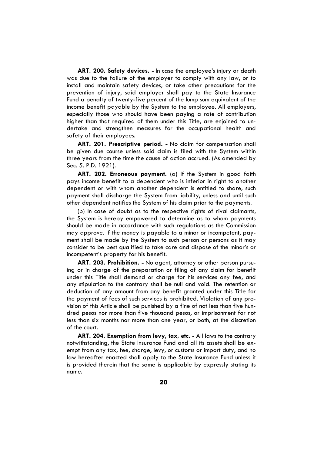**ART. 200. Safety devices. -** In case the employee's injury or death was due to the failure of the employer to comply with any law, or to install and maintain safety devices, or take other precautions for the prevention of injury, said employer shall pay to the State Insurance Fund a penalty of twenty-five percent of the lump sum equivalent of the income benefit payable by the System to the employee. All employers, especially those who should have been paying a rate of contribution higher than that required of them under this Title, are enjoined to undertake and strengthen measures for the occupational health and safety of their employees.

**ART. 201. Prescriptive period. -** No claim for compensation shall be given due course unless said claim is filed with the System within three years from the time the cause of action accrued. (As amended by Sec. 5. P.D. 1921).

**ART. 202. Erroneous payment.** (a) If the System in good faith pays income benefit to a dependent who is inferior in right to another dependent or with whom another dependent is entitled to share, such payment shall discharge the System from liability, unless and until such other dependent notifies the System of his claim prior to the payments.

(b) In case of doubt as to the respective rights of rival claimants, the System is hereby empowered to determine as to whom payments should be made in accordance with such regulations as the Commission may approve. If the money is payable to a minor or incompetent, payment shall be made by the System to such person or persons as it may consider to be best qualified to take care and dispose of the minor's or incompetent's property for his benefit.

**ART. 203. Prohibition. -** No agent, attorney or other person pursuing or in charge of the preparation or filing of any claim for benefit under this Title shall demand or charge for his services any fee, and any stipulation to the contrary shall be null and void. The retention or deduction of any amount from any benefit granted under this Title for the payment of fees of such services is prohibited. Violation of any provision of this Article shall be punished by a fine of not less than five hundred pesos nor more than five thousand pesos, or imprisonment for not less than six months nor more than one year, or both, at the discretion of the court.

**ART. 204. Exemption from levy, tax, etc. -** All laws to the contrary notwithstanding, the State Insurance Fund and all its assets shall be exempt from any tax, fee, charge, levy, or customs or import duty, and no law hereafter enacted shall apply to the State Insurance Fund unless it is provided therein that the same is applicable by expressly stating its name.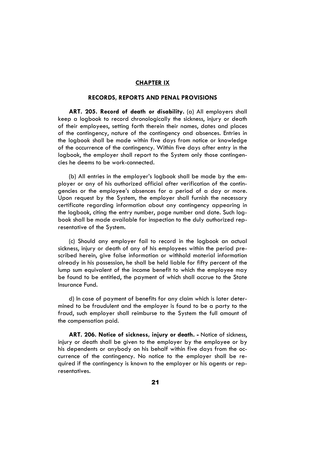# **CHAPTER IX**

# **RECORDS, REPORTS AND PENAL PROVISIONS**

**ART. 205. Record of death or disability.** (a) All employers shall keep a logbook to record chronologically the sickness, injury or death of their employees, setting forth therein their names, dates and places of the contingency, nature of the contingency and absences. Entries in the logbook shall be made within five days from notice or knowledge of the occurrence of the contingency. Within five days after entry in the logbook, the employer shall report to the System only those contingencies he deems to be work-connected.

(b) All entries in the employer's logbook shall be made by the employer or any of his authorized official after verification of the contingencies or the employee's absences for a period of a day or more. Upon request by the System, the employer shall furnish the necessary certificate regarding information about any contingency appearing in the logbook, citing the entry number, page number and date. Such logbook shall be made available for inspection to the duly authorized representative of the System.

(c) Should any employer fail to record in the logbook an actual sickness, injury or death of any of his employees within the period prescribed herein, give false information or withhold material information already in his possession, he shall be held liable for fifty percent of the lump sum equivalent of the income benefit to which the employee may be found to be entitled, the payment of which shall accrue to the State Insurance Fund.

d) In case of payment of benefits for any claim which is later determined to be fraudulent and the employer is found to be a party to the fraud, such employer shall reimburse to the System the full amount of the compensation paid.

**ART. 206. Notice of sickness, injury or death. -** Notice of sickness, injury or death shall be given to the employer by the employee or by his dependents or anybody on his behalf within five days from the occurrence of the contingency. No notice to the employer shall be required if the contingency is known to the employer or his agents or representatives.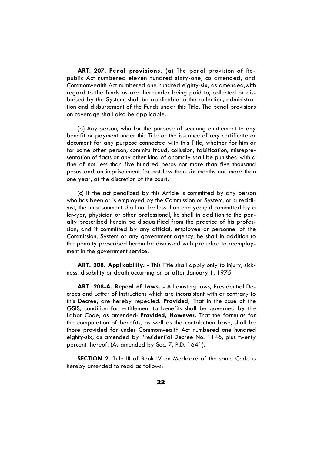**ART. 207. Penal provisions.** (a) The penal provision of Republic Act numbered eleven hundred sixty-one, as amended, and Commonwealth Act numbered one hundred eighty-six, as amended,with regard to the funds as are thereunder being paid to, collected or disbursed by the System, shall be applicable to the collection, administration and disbursement of the Funds under this Title. The penal provisions on coverage shall also be applicable.

(b) Any person, who for the purpose of securing entitlement to any benefit or payment under this Title or the issuance of any certificate or document for any purpose connected with this Title, whether for him or for some other person, commits fraud, collusion, falsification, misrepresentation of facts or any other kind of anomaly shall be punished with a fine of not less than five hundred pesos nor more than five thousand pesos and an imprisonment for not less than six months nor more than one year, at the discretion of the court.

(c) If the act penalized by this Article is committed by any person who has been or is employed by the Commission or System, or a recidivist, the imprisonment shall not be less than one year; if committed by a lawyer, physician or other professional, he shall in addition to the penalty prescribed herein be disqualified from the practice of his profession; and if committed by any official, employee or personnel of the Commission, System or any government agency, he shall in addition to the penalty prescribed herein be dismissed with prejudice to reemployment in the government service.

**ART. 208. Applicability. -** This Title shall apply only to injury, sickness, disability or death occurring on or after January 1, 1975.

**ART. 208-A. Repeal of Laws. -** All existing laws, Presidential Decrees and Letter of Instructions which are inconsistent with or contrary to this Decree, are hereby repealed: **Provided,** That in the case of the GSIS, condition for entitlement to benefits shall be governed by the Labor Code, as amended: **Provided, However,** That the formulas for the computation of benefits, as well as the contribution base, shall be those provided for under Commonwealth Act numbered one hundred eighty-six, as amended by Presidential Decree No. 1146, plus twenty percent thereof. (As amended by Sec. 7, P.D. 1641).

**SECTION 2.** Title III of Book IV on Medicare of the same Code is hereby amended to read as follows: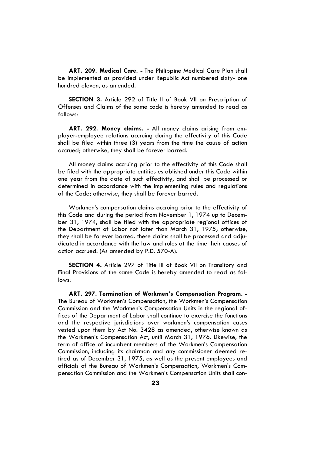**ART. 209. Medical Care. -** The Philippine Medical Care Plan shall be implemented as provided under Republic Act numbered sixty- one hundred eleven, as amended.

**SECTION 3.** Article 292 of Title II of Book VII on Prescription of Offenses and Claims of the same code is hereby amended to read as follows:

**ART. 292. Money claims. -** All money claims arising from employer-employee relations accruing during the effectivity of this Code shall be filed within three (3) years from the time the cause of action accrued; otherwise, they shall be forever barred.

All money claims accruing prior to the effectivity of this Code shall be filed with the appropriate entities established under this Code within one year from the date of such effectivity, and shall be processed or determined in accordance with the implementing rules and regulations of the Code; otherwise, they shall be forever barred.

Workmen's compensation claims accruing prior to the effectivity of this Code and during the period from November 1, 1974 up to December 31, 1974, shall be filed with the appropriate regional offices of the Department of Labor not later than March 31, 1975; otherwise, they shall be forever barred. these claims shall be processed and adjudicated in accordance with the law and rules at the time their causes of action accrued. (As amended by P.D. 570-A).

**SECTION 4.** Article 297 of Title III of Book VII on Transitory and Final Provisions of the same Code is hereby amended to read as follows:

**ART. 297. Termination of Workmen's Compensation Program. -** The Bureau of Workmen's Compensation, the Workmen's Compensation Commission and the Workmen's Compensation Units in the regional offices of the Department of Labor shall continue to exercise the functions and the respective jurisdictions over workmen's compensation cases vested upon them by Act No. 3428 as amended, otherwise known as the Workmen's Compensation Act, until March 31, 1976. Likewise, the term of office of incumbent members of the Workmen's Compensation Commission, including its chairman and any commissioner deemed retired as of December 31, 1975, as well as the present employees and officials of the Bureau of Workmen's Compensation, Workmen's Compensation Commission and the Workmen's Compensation Units shall con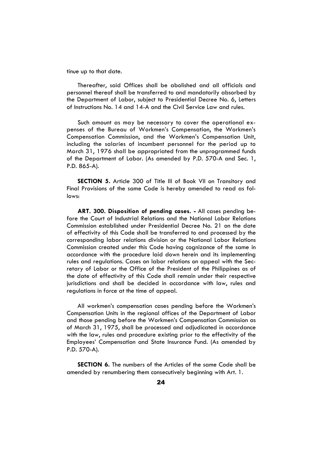tinue up to that date.

Thereafter, said Offices shall be abolished and all officials and personnel thereof shall be transferred to and mandatorily absorbed by the Department of Labor, subject to Presidential Decree No. 6, Letters of Instructions No. 14 and 14-A and the Civil Service Law and rules.

Such amount as may be necessary to cover the operational expenses of the Bureau of Workmen's Compensation, the Workmen's Compensation Commission, and the Workmen's Compensation Unit, including the salaries of incumbent personnel for the period up to March 31, 1976 shall be appropriated from the unprogrammed funds of the Department of Labor. (As amended by P.D. 570-A and Sec. 1, P.D. 865-A).

**SECTION 5.** Article 300 of Title III of Book VII on Transitory and Final Provisions of the same Code is hereby amended to read as follows:

**ART. 300. Disposition of pending cases. -** All cases pending before the Court of Industrial Relations and the National Labor Relations Commission established under Presidential Decree No. 21 on the date of effectivity of this Code shall be transferred to and processed by the corresponding labor relations division or the National Labor Relations Commission created under this Code having cognizance of the same in accordance with the procedure laid down herein and its implementing rules and regulations. Cases on labor relations on appeal with the Secretary of Labor or the Office of the President of the Philippines as of the date of effectivity of this Code shall remain under their respective jurisdictions and shall be decided in accordance with law, rules and regulations in force at the time of appeal.

All workmen's compensation cases pending before the Workmen's Compensation Units in the regional offices of the Department of Labor and those pending before the Workmen's Compensation Commission as of March 31, 1975, shall be processed and adjudicated in accordance with the law, rules and procedure existing prior to the effectivity of the Employees' Compensation and State Insurance Fund. (As amended by P.D. 570-A).

**SECTION 6.** The numbers of the Articles of the same Code shall be amended by renumbering them consecutively beginning with Art. 1.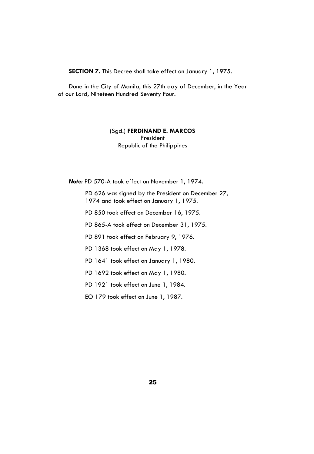**SECTION 7.** This Decree shall take effect on January 1, 1975.

Done in the City of Manila, this 27th day of December, in the Year of our Lord, Nineteen Hundred Seventy Four.

# (Sgd.) **FERDINAND E. MARCOS** President Republic of the Philippines

*Note:* PD 570-A took effect on November 1, 1974.

PD 626 was signed by the President on December 27, 1974 and took effect on January 1, 1975.

PD 850 took effect on December 16, 1975.

PD 865-A took effect on December 31, 1975.

PD 891 took effect on February 9, 1976.

PD 1368 took effect on May 1, 1978.

PD 1641 took effect on January 1, 1980.

PD 1692 took effect on May 1, 1980.

PD 1921 took effect on June 1, 1984.

EO 179 took effect on June 1, 1987.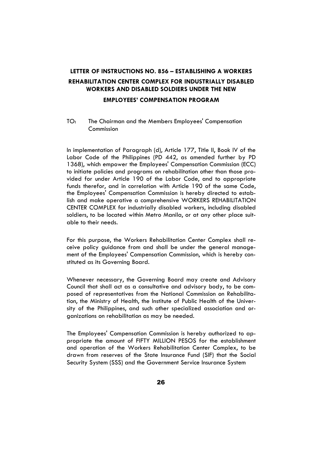# **LETTER OF INSTRUCTIONS NO. 856 – ESTABLISHING A WORKERS REHABILITATION CENTER COMPLEX FOR INDUSTRIALLY DISABLED WORKERS AND DISABLED SOLDIERS UNDER THE NEW**

# **EMPLOYEES' COMPENSATION PROGRAM**

# TO: The Chairman and the Members Employees' Compensation Commission

In implementation of Paragraph (d), Article 177, Title II, Book IV of the Labor Code of the Philippines (PD 442, as amended further by PD 1368), which empower the Employees' Compensation Commission (ECC) to initiate policies and programs on rehabilitation other than those provided for under Article 190 of the Labor Code, and to appropriate funds therefor, and in correlation with Article 190 of the same Code, the Employees' Compensation Commission is hereby directed to establish and make operative a comprehensive WORKERS REHABILITATION CENTER COMPLEX for industrially disabled workers, including disabled soldiers, to be located within Metro Manila, or at any other place suitable to their needs.

For this purpose, the Workers Rehabilitation Center Complex shall receive policy guidance from and shall be under the general management of the Employees' Compensation Commission, which is hereby constituted as its Governing Board.

Whenever necessary, the Governing Board may create and Advisory Council that shall act as a consultative and advisory body, to be composed of representatives from the National Commission on Rehabilitation, the Ministry of Health, the Institute of Public Health of the University of the Philippines, and such other specialized association and organizations on rehabilitation as may be needed.

The Employees' Compensation Commission is hereby authorized to appropriate the amount of FIFTY MILLION PESOS for the establishment and operation of the Workers Rehabilitation Center Complex, to be drawn from reserves of the State Insurance Fund (SIF) that the Social Security System (SSS) and the Government Service Insurance System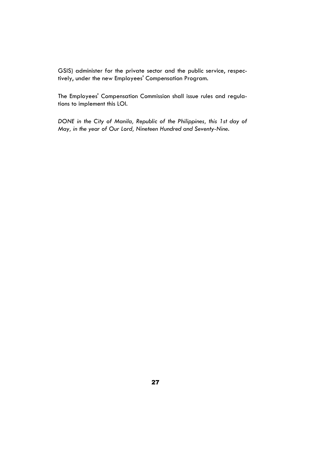GSIS) administer for the private sector and the public service, respectively, under the new Employees' Compensation Program.

The Employees' Compensation Commission shall issue rules and regulations to implement this LOI.

*DONE in the City of Manila, Republic of the Philippines, this 1st day of May, in the year of Our Lord, Nineteen Hundred and Seventy-Nine.*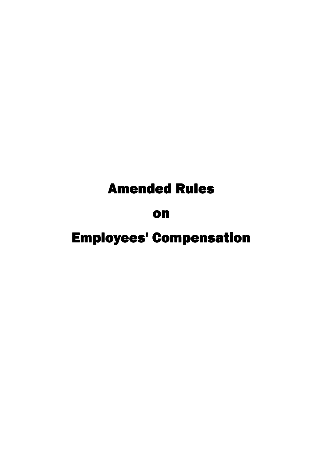# **Amended Rules**

# on

# **Employees' Compensation**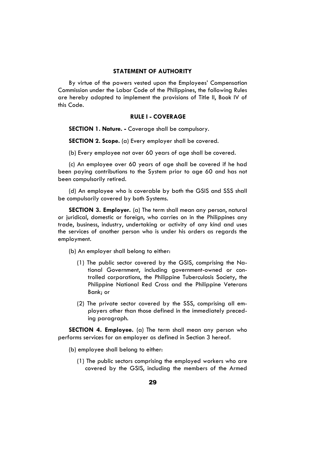# **STATEMENT OF AUTHORITY**

By virtue of the powers vested upon the Employees' Compensation Commission under the Labor Code of the Philippines, the following Rules are hereby adopted to implement the provisions of Title II, Book IV of this Code.

# **RULE I - COVERAGE**

**SECTION 1. Nature. -** Coverage shall be compulsory.

**SECTION 2. Scope.** (a) Every employer shall be covered.

(b) Every employee not over 60 years of age shall be covered.

(c) An employee over 60 years of age shall be covered if he had been paying contributions to the System prior to age 60 and has not been compulsorily retired.

(d) An employee who is coverable by both the GSIS and SSS shall be compulsorily covered by both Systems.

**SECTION 3. Employer.** (a) The term shall mean any person, natural or juridical, domestic or foreign, who carries on in the Philippines any trade, business, industry, undertaking or activity of any kind and uses the services of another person who is under his orders as regards the employment.

(b) An employer shall belong to either:

- (1) The public sector covered by the GSIS, comprising the National Government, including government-owned or controlled corporations, the Philippine Tuberculosis Society, the Philippine National Red Cross and the Philippine Veterans Bank; or
- (2) The private sector covered by the SSS, comprising all employers other than those defined in the immediately preceding paragraph.

**SECTION 4. Employee.** (a) The term shall mean any person who performs services for an employer as defined in Section 3 hereof.

- (b) employee shall belong to either:
	- (1) The public sectors comprising the employed workers who are covered by the GSIS, including the members of the Armed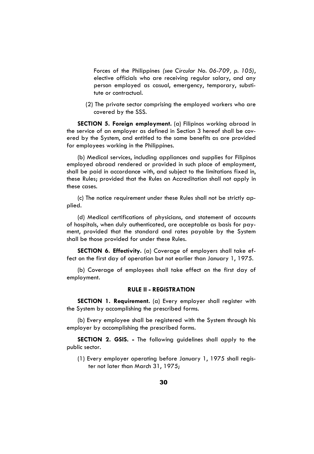Forces of the Philippines *(see Circular No. 06-709, p. 105)*, elective officials who are receiving regular salary, and any person employed as casual, emergency, temporary, substitute or contractual.

(2) The private sector comprising the employed workers who are covered by the SSS.

**SECTION 5. Foreign employment.** (a) Filipinos working abroad in the service of an employer as defined in Section 3 hereof shall be covered by the System, and entitled to the same benefits as are provided for employees working in the Philippines.

(b) Medical services, including appliances and supplies for Filipinos employed abroad rendered or provided in such place of employment, shall be paid in accordance with, and subject to the limitations fixed in, these Rules; provided that the Rules on Accreditation shall not apply in these cases.

(c) The notice requirement under these Rules shall not be strictly applied.

(d) Medical certifications of physicians, and statement of accounts of hospitals, when duly authenticated, are acceptable as basis for payment, provided that the standard and rates payable by the System shall be those provided for under these Rules.

**SECTION 6. Effectivity.** (a) Coverage of employers shall take effect on the first day of operation but not earlier than January 1, 1975.

(b) Coverage of employees shall take effect on the first day of employment.

# **RULE II - REGISTRATION**

**SECTION 1. Requirement.** (a) Every employer shall register with the System by accomplishing the prescribed forms.

(b) Every employee shall be registered with the System through his employer by accomplishing the prescribed forms.

**SECTION 2. GSIS. -** The following guidelines shall apply to the public sector.

(1) Every employer operating before January 1, 1975 shall register not later than March 31, 1975;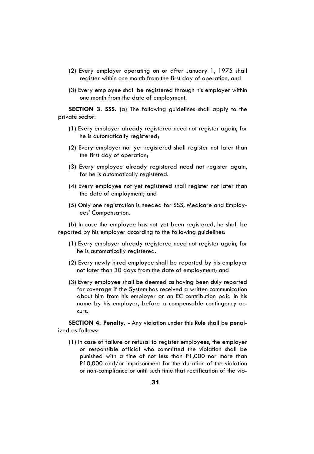- (2) Every employer operating on or after January 1, 1975 shall register within one month from the first day of operation, and
- (3) Every employee shall be registered through his employer within one month from the date of employment.

**SECTION 3. SSS.** (a) The following guidelines shall apply to the private sector:

- (1) Every employer already registered need not register again, for he is automatically registered;
- (2) Every employer not yet registered shall register not later than the first day of operation;
- (3) Every employee already registered need not register again, for he is automatically registered.
- (4) Every employee not yet registered shall register not later than the date of employment; and
- (5) Only one registration is needed for SSS, Medicare and Employees' Compensation.

(b) In case the employee has not yet been registered, he shall be reported by his employer according to the following guidelines:

- (1) Every employer already registered need not register again, for he is automatically registered.
- (2) Every newly hired employee shall be reported by his employer not later than 30 days from the date of employment; and
- (3) Every employee shall be deemed as having been duly reported for coverage if the System has received a written communication about him from his employer or an EC contribution paid in his name by his employer, before a compensable contingency occurs.

**SECTION 4. Penalty. -** Any violation under this Rule shall be penalized as follows:

(1) In case of failure or refusal to register employees, the employer or responsible official who committed the violation shall be punished with a fine of not less than P1,000 nor more than P10,000 and/or imprisonment for the duration of the violation or non-compliance or until such time that rectification of the vio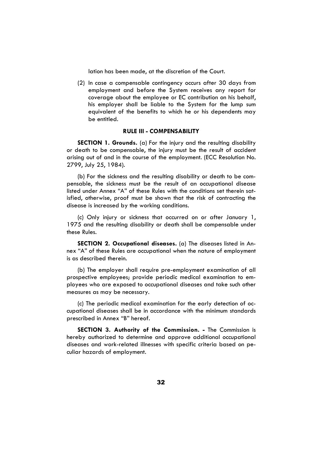lation has been made, at the discretion of the Court.

(2) In case a compensable contingency occurs after 30 days from employment and before the System receives any report for coverage about the employee or EC contribution on his behalf, his employer shall be liable to the System for the lump sum equivalent of the benefits to which he or his dependents may be entitled.

# **RULE III - COMPENSABILITY**

**SECTION 1. Grounds.** (a) For the injury and the resulting disability or death to be compensable, the injury must be the result of accident arising out of and in the course of the employment. (ECC Resolution No. 2799, July 25, 1984).

(b) For the sickness and the resulting disability or death to be compensable, the sickness must be the result of an occupational disease listed under Annex "A" of these Rules with the conditions set therein satisfied, otherwise, proof must be shown that the risk of contracting the disease is increased by the working conditions.

(c) Only injury or sickness that occurred on or after January 1, 1975 and the resulting disability or death shall be compensable under these Rules.

**SECTION 2. Occupational diseases.** (a) The diseases listed in Annex "A" of these Rules are occupational when the nature of employment is as described therein.

(b) The employer shall require pre-employment examination of all prospective employees; provide periodic medical examination to employees who are exposed to occupational diseases and take such other measures as may be necessary.

(c) The periodic medical examination for the early detection of occupational diseases shall be in accordance with the minimum standards prescribed in Annex "B" hereof.

**SECTION 3. Authority of the Commission. -** The Commission is hereby authorized to determine and approve additional occupational diseases and work-related illnesses with specific criteria based on peculiar hazards of employment.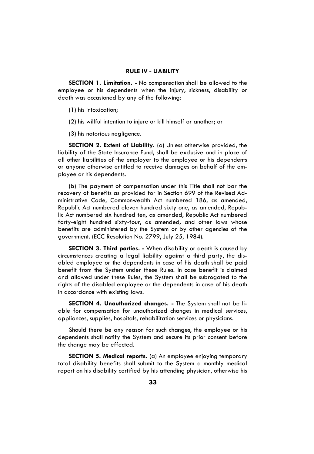# **RULE IV - LIABILITY**

**SECTION 1. Limitation. -** No compensation shall be allowed to the employee or his dependents when the injury, sickness, disability or death was occasioned by any of the following:

(1) his intoxication;

(2) his willful intention to injure or kill himself or another; or

(3) his notorious negligence.

**SECTION 2. Extent of Liability.** (a) Unless otherwise provided, the liability of the State Insurance Fund, shall be exclusive and in place of all other liabilities of the employer to the employee or his dependents or anyone otherwise entitled to receive damages on behalf of the employee or his dependents.

(b) The payment of compensation under this Title shall not bar the recovery of benefits as provided for in Section 699 of the Revised Administrative Code, Commonwealth Act numbered 186, as amended, Republic Act numbered eleven hundred sixty one, as amended, Republic Act numbered six hundred ten, as amended, Republic Act numbered forty-eight hundred sixty-four, as amended, and other laws whose benefits are administered by the System or by other agencies of the government. (ECC Resolution No. 2799, July 25, 1984).

**SECTION 3. Third parties. -** When disability or death is caused by circumstances creating a legal liability against a third party, the disabled employee or the dependents in case of his death shall be paid benefit from the System under these Rules. In case benefit is claimed and allowed under these Rules, the System shall be subrogated to the rights of the disabled employee or the dependents in case of his death in accordance with existing laws.

**SECTION 4. Unauthorized changes. -** The System shall not be liable for compensation for unauthorized changes in medical services, appliances, supplies, hospitals, rehabilitation services or physicians.

Should there be any reason for such changes, the employee or his dependents shall notify the System and secure its prior consent before the change may be effected.

**SECTION 5. Medical reports.** (a) An employee enjoying temporary total disability benefits shall submit to the System a monthly medical report on his disability certified by his attending physician, otherwise his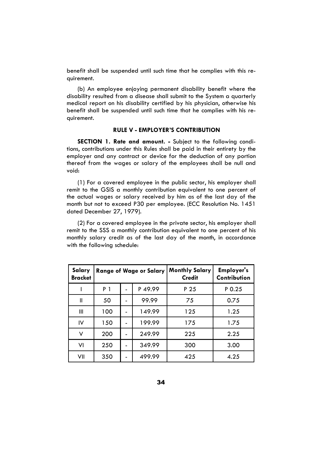benefit shall be suspended until such time that he complies with this requirement.

(b) An employee enjoying permanent disability benefit where the disability resulted from a disease shall submit to the System a quarterly medical report on his disability certified by his physician, otherwise his benefit shall be suspended until such time that he complies with his requirement.

# **RULE V - EMPLOYER'S CONTRIBUTION**

**SECTION 1. Rate and amount. -** Subject to the following conditions, contributions under this Rules shall be paid in their entirety by the employer and any contract or device for the deduction of any portion thereof from the wages or salary of the employees shall be null and void:

(1) For a covered employee in the public sector, his employer shall remit to the GSIS a monthly contribution equivalent to one percent of the actual wages or salary received by him as of the last day of the month but not to exceed P30 per employee. (ECC Resolution No. 1451 dated December 27, 1979).

(2) For a covered employee in the private sector, his employer shall remit to the SSS a monthly contribution equivalent to one percent of his monthly salary credit as of the last day of the month, in accordance with the following schedule:

| Salary<br><b>Bracket</b> | <b>Range of Wage or Salary</b> |  |        | <b>Monthly Salary</b><br><b>Credit</b> | <b>Employer's</b><br>Contribution |
|--------------------------|--------------------------------|--|--------|----------------------------------------|-----------------------------------|
|                          | P 1                            |  | P49.99 | P 25                                   | $P_{0.25}$                        |
| Ш                        | 50                             |  | 99.99  | 75                                     | 0.75                              |
| Ш                        | 100                            |  | 149.99 | 125                                    | 1.25                              |
| $\mathsf{IV}$            | 150                            |  | 199.99 | 175                                    | 1.75                              |
| v                        | 200                            |  | 249.99 | 225                                    | 2.25                              |
| VI                       | 250                            |  | 349.99 | 300                                    | 3.00                              |
| VII                      | 350                            |  | 499.99 | 425                                    | 4.25                              |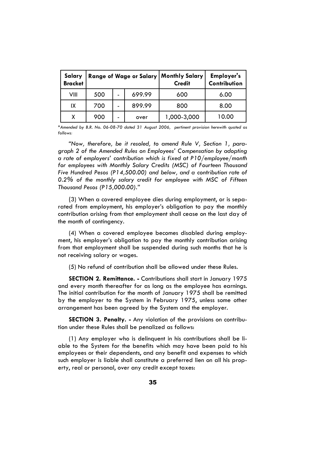| Salary<br><b>Bracket</b> |     |   |        | Range of Wage or Salary   Monthly Salary<br><b>Credit</b> | <b>Employer's</b><br>Contribution |
|--------------------------|-----|---|--------|-----------------------------------------------------------|-----------------------------------|
| VIII                     | 500 | - | 699.99 | 600                                                       | 6.00                              |
| IX                       | 700 | - | 899.99 | 800                                                       | 8.00                              |
| x                        | 900 |   | over   | 1,000-3,000                                               | 10.00                             |

*\*Amended by B.R. No. 06-08-70 dated 31 August 2006, pertinent provision herewith quoted as follows:*

*"Now, therefore, be it resoled, to amend Rule V, Section 1, paragraph 2 of the Amended Rules on Employees' Compensation by adopting a rate of employers' contribution which is fixed at P10/employee/month for employees with Monthly Salary Credits (MSC) of Fourteen Thousand Five Hundred Pesos (P14,500.00) and below, and a contribution rate of 0.2% of the monthly salary credit for employee with MSC of Fifteen Thousand Pesos (P15,000.00)."* 

(3) When a covered employee dies during employment, or is separated from employment, his employer's obligation to pay the monthly contribution arising from that employment shall cease on the last day of the month of contingency.

(4) When a covered employee becomes disabled during employment, his employer's obligation to pay the monthly contribution arising from that employment shall be suspended during such months that he is not receiving salary or wages.

(5) No refund of contribution shall be allowed under these Rules.

**SECTION 2. Remittance. -** Contributions shall start in January 1975 and every month thereafter for as long as the employee has earnings. The initial contribution for the month of January 1975 shall be remitted by the employer to the System in February 1975, unless some other arrangement has been agreed by the System and the employer.

**SECTION 3. Penalty. -** Any violation of the provisions on contribution under these Rules shall be penalized as follows:

(1) Any employer who is delinquent in his contributions shall be liable to the System for the benefits which may have been paid to his employees or their dependents, and any benefit and expenses to which such employer is liable shall constitute a preferred lien on all his property, real or personal, over any credit except taxes: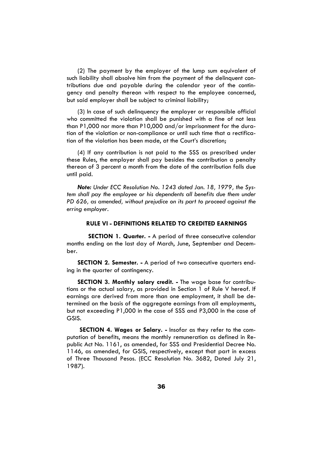(2) The payment by the employer of the lump sum equivalent of such liability shall absolve him from the payment of the delinquent contributions due and payable during the calendar year of the contingency and penalty thereon with respect to the employee concerned, but said employer shall be subject to criminal liability;

(3) In case of such delinquency the employer or responsible official who committed the violation shall be punished with a fine of not less than P1,000 nor more than P10,000 and/or imprisonment for the duration of the violation or non-compliance or until such time that a rectification of the violation has been made, at the Court's discretion;

(4) If any contribution is not paid to the SSS as prescribed under these Rules, the employer shall pay besides the contribution a penalty thereon of 3 percent a month from the date of the contribution falls due until paid.

*Note: Under ECC Resolution No. 1243 dated Jan. 18, 1979, the System shall pay the employee or his dependents all benefits due them under PD 626, as amended, without prejudice on its part to proceed against the erring employer.* 

#### **RULE VI - DEFINITIONS RELATED TO CREDITED EARNINGS**

 **SECTION 1. Quarter. -** A period of three consecutive calendar months ending on the last day of March, June, September and December.

**SECTION 2. Semester. -** A period of two consecutive quarters ending in the quarter of contingency.

**SECTION 3. Monthly salary credit. -** The wage base for contributions or the actual salary, as provided in Section 1 of Rule V hereof. If earnings are derived from more than one employment, it shall be determined on the basis of the aggregate earnings from all employments, but not exceeding P1,000 in the case of SSS and P3,000 in the case of GSIS.

**SECTION 4. Wages or Salary. -** Insofar as they refer to the computation of benefits, means the monthly remuneration as defined in Republic Act No. 1161, as amended, for SSS and Presidential Decree No. 1146, as amended, for GSIS, respectively, except that part in excess of Three Thousand Pesos. (ECC Resolution No. 3682, Dated July 21, 1987).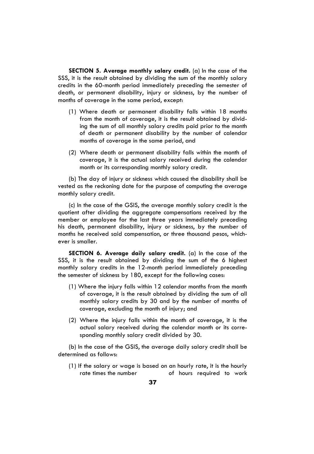**SECTION 5. Average monthly salary credit.** (a) In the case of the SSS, it is the result obtained by dividing the sum of the monthly salary credits in the 60-month period immediately preceding the semester of death, or permanent disability, injury or sickness, by the number of months of coverage in the same period, except:

- (1) Where death or permanent disability falls within 18 months from the month of coverage, it is the result obtained by dividing the sum of all monthly salary credits paid prior to the month of death or permanent disability by the number of calendar months of coverage in the same period, and
- (2) Where death or permanent disability falls within the month of coverage, it is the actual salary received during the calendar month or its corresponding monthly salary credit.

(b) The day of injury or sickness which caused the disability shall be vested as the reckoning date for the purpose of computing the average monthly salary credit.

(c) In the case of the GSIS, the average monthly salary credit is the quotient after dividing the aggregate compensations received by the member or employee for the last three years immediately preceding his death, permanent disability, injury or sickness, by the number of months he received said compensation, or three thousand pesos, whichever is smaller.

**SECTION 6. Average daily salary credit.** (a) In the case of the SSS, it is the result obtained by dividing the sum of the 6 highest monthly salary credits in the 12-month period immediately preceding the semester of sickness by 180, except for the following cases:

- (1) Where the injury falls within 12 calendar months from the month of coverage, it is the result obtained by dividing the sum of all monthly salary credits by 30 and by the number of months of coverage, excluding the month of injury; and
- (2) Where the injury falls within the month of coverage, it is the actual salary received during the calendar month or its corresponding monthly salary credit divided by 30.

(b) In the case of the GSIS, the average daily salary credit shall be determined as follows:

(1) If the salary or wage is based on an hourly rate, it is the hourly rate times the number of hours required to work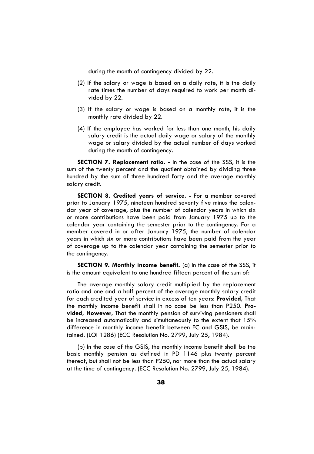during the month of contingency divided by 22.

- (2) If the salary or wage is based on a daily rate, it is the daily rate times the number of days required to work per month divided by 22.
- (3) If the salary or wage is based on a monthly rate, it is the monthly rate divided by 22.
- (4) If the employee has worked for less than one month, his daily salary credit is the actual daily wage or salary of the monthly wage or salary divided by the actual number of days worked during the month of contingency.

**SECTION 7. Replacement ratio. -** In the case of the SSS, it is the sum of the twenty percent and the quotient obtained by dividing three hundred by the sum of three hundred forty and the average monthly salary credit.

**SECTION 8. Credited years of service. -** For a member covered prior to January 1975, nineteen hundred seventy five minus the calendar year of coverage, plus the number of calendar years in which six or more contributions have been paid from January 1975 up to the calendar year containing the semester prior to the contingency. For a member covered in or after January 1975, the number of calendar years in which six or more contributions have been paid from the year of coverage up to the calendar year containing the semester prior to the contingency.

**SECTION 9. Monthly income benefit.** (a) In the case of the SSS, it is the amount equivalent to one hundred fifteen percent of the sum of:

The average monthly salary credit multiplied by the replacement ratio and one and a half percent of the average monthly salary credit for each credited year of service in excess of ten years: **Provided,** That the monthly income benefit shall in no case be less than P250. **Provided, However,** That the monthly pension of surviving pensioners shall be increased automatically and simultaneously to the extent that 15% difference in monthly income benefit between EC and GSIS, be maintained. (LOI 1286) (ECC Resolution No. 2799, July 25, 1984).

(b) In the case of the GSIS, the monthly income benefit shall be the basic monthly pension as defined in PD 1146 plus twenty percent thereof, but shall not be less than P250, nor more than the actual salary at the time of contingency. (ECC Resolution No. 2799, July 25, 1984).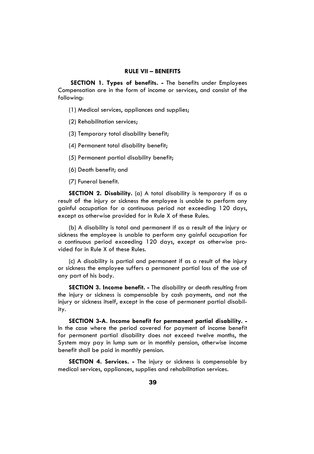### **RULE VII – BENEFITS**

**SECTION 1. Types of benefits. -** The benefits under Employees Compensation are in the form of income or services, and consist of the following:

(1) Medical services, appliances and supplies;

(2) Rehabilitation services;

(3) Temporary total disability benefit;

(4) Permanent total disability benefit;

(5) Permanent partial disability benefit;

(6) Death benefit; and

(7) Funeral benefit.

**SECTION 2. Disability.** (a) A total disability is temporary if as a result of the injury or sickness the employee is unable to perform any gainful occupation for a continuous period not exceeding 120 days, except as otherwise provided for in Rule X of these Rules.

(b) A disability is total and permanent if as a result of the injury or sickness the employee is unable to perform any gainful occupation for a continuous period exceeding 120 days, except as otherwise provided for in Rule X of these Rules.

(c) A disability is partial and permanent if as a result of the injury or sickness the employee suffers a permanent partial loss of the use of any part of his body.

**SECTION 3. Income benefit. -** The disability or death resulting from the injury or sickness is compensable by cash payments, and not the injury or sickness itself, except in the case of permanent partial disability.

**SECTION 3-A. Income benefit for permanent partial disability. -** In the case where the period covered for payment of income benefit for permanent partial disability does not exceed twelve months, the System may pay in lump sum or in monthly pension, otherwise income benefit shall be paid in monthly pension.

**SECTION 4. Services. -** The injury or sickness is compensable by medical services, appliances, supplies and rehabilitation services.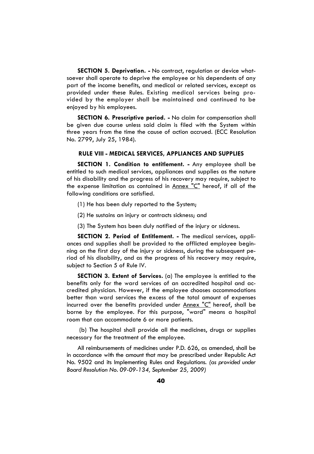**SECTION 5. Deprivation. -** No contract, regulation or device whatsoever shall operate to deprive the employee or his dependents of any part of the income benefits, and medical or related services, except as provided under these Rules. Existing medical services being provided by the employer shall be maintained and continued to be enjoyed by his employees.

**SECTION 6. Prescriptive period. -** No claim for compensation shall be given due course unless said claim is filed with the System within three years from the time the cause of action accrued. (ECC Resolution No. 2799, July 25, 1984).

# **RULE VIII - MEDICAL SERVICES, APPLIANCES AND SUPPLIES**

**SECTION 1. Condition to entitlement. -** Any employee shall be entitled to such medical services, appliances and supplies as the nature of his disability and the progress of his recovery may require, subject to the expense limitation as contained in Annex "C" hereof, if all of the following conditions are satisfied.

- (1) He has been duly reported to the System;
- (2) He sustains an injury or contracts sickness; and
- (3) The System has been duly notified of the injury or sickness.

**SECTION 2. Period of Entitlement. -** The medical services, appliances and supplies shall be provided to the afflicted employee beginning on the first day of the injury or sickness, during the subsequent period of his disability, and as the progress of his recovery may require, subject to Section 5 of Rule IV.

**SECTION 3. Extent of Services.** (a) The employee is entitled to the benefits only for the ward services of an accredited hospital and accredited physician. However, if the employee chooses accommodations better than ward services the excess of the total amount of expenses incurred over the benefits provided under Annex "C" hereof, shall be borne by the employee. For this purpose, "ward" means a hospital room that can accommodate 6 or more patients.

 (b) The hospital shall provide all the medicines, drugs or supplies necessary for the treatment of the employee.

All reimbursements of medicines under P.D. 626, as amended, shall be in accordance with the amount that may be prescribed under Republic Act No. 9502 and its Implementing Rules and Regulations. *(as provided under Board Resolution No. 09-09-134, September 25, 2009)*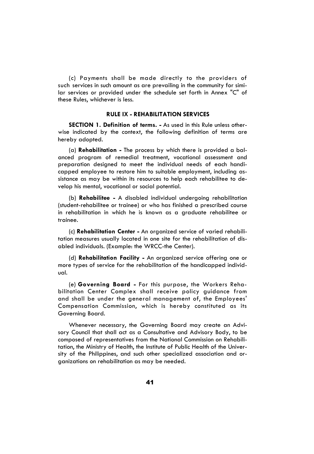(c) Payments shall be made directly to the providers of such services in such amount as are prevailing in the community for similar services or provided under the schedule set forth in Annex "C" of these Rules, whichever is less.

# **RULE IX - REHABILITATION SERVICES**

**SECTION 1. Definition of terms. -** As used in this Rule unless otherwise indicated by the context, the following definition of terms are hereby adopted.

(a) **Rehabilitation -** The process by which there is provided a balanced program of remedial treatment, vocational assessment and preparation designed to meet the individual needs of each handicapped employee to restore him to suitable employment, including assistance as may be within its resources to help each rehabilitee to develop his mental, vocational or social potential.

(b) **Rehabilitee -** A disabled individual undergoing rehabilitation (student-rehabilitee or trainee) or who has finished a prescribed course in rehabilitation in which he is known as a graduate rehabilitee or trainee.

(c) **Rehabilitation Center -** An organized service of varied rehabilitation measures usually located in one site for the rehabilitation of disabled individuals. (Example: the WRCC-the Center).

(d) **Rehabilitation Facility -** An organized service offering one or more types of service for the rehabilitation of the handicapped individual.

(e) **Governing Board -** For this purpose, the Workers Rehabilitation Center Complex shall receive policy guidance from and shall be under the general management of, the Employees' Compensation Commission, which is hereby constituted as its Governing Board.

Whenever necessary, the Governing Board may create an Advisory Council that shall act as a Consultative and Advisory Body, to be composed of representatives from the National Commission on Rehabilitation, the Ministry of Health, the Institute of Public Health of the University of the Philippines, and such other specialized association and organizations on rehabilitation as may be needed.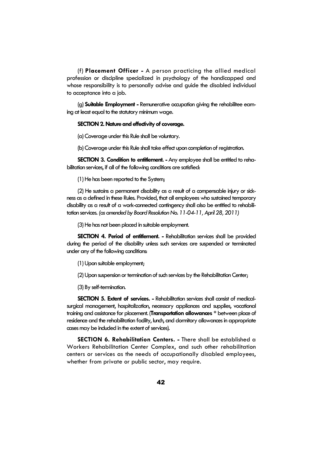(f) **Placement Officer -** A person practicing the allied medical profession or discipline specialized in psychology of the handicapped and whose responsibility is to personally advise and guide the disabled individual to acceptance into a job.

(g) **Suitable Employment -** Remunerative occupation giving the rehabilitee earning at least equal to the statutory minimum wage.

#### **SECTION 2. Nature and effectivity of coverage.**

(a) Coverage under this Rule shall be voluntary.

(b) Coverage under this Rule shall take effect upon completion of registration.

**SECTION 3. Condition to entitlement. -** Any employee shall be entitled to rehabilitation services, if all of the following conditions are satisfied:

(1) He has been reported to the System;

(2) He sustains a permanent disability as a result of a compensable injury or sickness as a defined in these Rules. Provided, that all employees who sustained temporary disability as a result of a work-connected contingency shall also be entitled to rehabilitation services. *(as amended by Board Resolution No. 11-04-11, April 28, 2011)* 

(3) He has not been placed in suitable employment.

**SECTION 4. Period of entitlement. -** Rehabilitation services shall be provided during the period of the disability unless such services are suspended or terminated under any of the following conditions:

(1) Upon suitable employment;

(2) Upon suspension or termination of such services by the Rehabilitation Center;

(3) By self-termination.

**SECTION 5. Extent of services. -** Rehabilitation services shall consist of medicalsurgical management, hospitalization, necessary appliances and supplies, vocational training and assistance for placement. (**Transportation allowances \*** between place of residence and the rehabilitation facility, lunch, and dormitory allowances in appropriate cases may be included in the extent of services).

**SECTION 6. Rehabilitation Centers. -** There shall be established a Workers Rehabilitation Center Complex, and such other rehabilitation centers or services as the needs of occupationally disabled employees, whether from private or public sector, may require.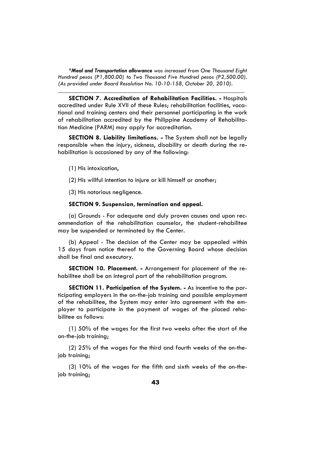*\*Meal and Transportation allowance was increased from One Thousand Eight Hundred pesos (P1,800.00) to Two Thousand Five Hundred pesos (P2,500.00). (As provided under Board Resolution No. 10-10-158, October 20, 2010).* 

*\_\_\_\_\_\_\_\_\_\_\_\_\_\_\_\_\_\_\_\_\_\_\_\_\_\_\_\_\_\_\_\_\_\_\_\_\_\_\_\_\_\_\_\_\_\_\_\_\_\_\_\_\_\_\_\_\_\_\_\_\_\_*

**SECTION 7. Accreditation of Rehabilitation Facilities. -** Hospitals accredited under Rule XVII of these Rules; rehabilitation facilities, vocational and training centers and their personnel participating in the work of rehabilitation accredited by the Philippine Academy of Rehabilitation Medicine (PARM) may apply for accreditation.

**SECTION 8. Liability limitations. -** The System shall not be legally responsible when the injury, sickness, disability or death during the rehabilitation is occasioned by any of the following:

- (1) His intoxication,
- (2) His willful intention to injure or kill himself or another;

(3) His notorious negligence.

#### **SECTION 9. Suspension, termination and appeal.**

(a) Grounds - For adequate and duly proven causes and upon recommendation of the rehabilitation counselor, the student-rehabilitee may be suspended or terminated by the Center.

(b) Appeal - The decision of the Center may be appealed within 15 days from notice thereof to the Governing Board whose decision shall be final and executory.

**SECTION 10. Placement. -** Arrangement for placement of the rehabilitee shall be an integral part of the rehabilitation program.

**SECTION 11. Participation of the System. -** As incentive to the participating employers in the on-the-job training and possible employment of the rehabilitee, the System may enter into agreement with the employer to participate in the payment of wages of the placed rehabilitee as follows:

(1) 50% of the wages for the first two weeks after the start of the on-the-job training;

(2) 25% of the wages for the third and fourth weeks of the on-thejob training;

(3) 10% of the wages for the fifth and sixth weeks of the on-thejob training;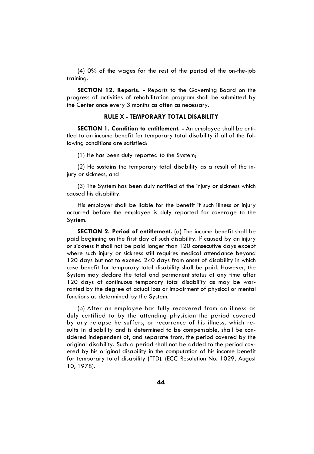(4) 0% of the wages for the rest of the period of the on-the-job training.

**SECTION 12. Reports. -** Reports to the Governing Board on the progress of activities of rehabilitation program shall be submitted by the Center once every 3 months as often as necessary.

# **RULE X - TEMPORARY TOTAL DISABILITY**

**SECTION 1. Condition to entitlement. -** An employee shall be entitled to an income benefit for temporary total disability if all of the following conditions are satisfied:

(1) He has been duly reported to the System;

(2) He sustains the temporary total disability as a result of the injury or sickness, and

(3) The System has been duly notified of the injury or sickness which caused his disability.

His employer shall be liable for the benefit if such illness or injury occurred before the employee is duly reported for coverage to the System.

**SECTION 2. Period of entitlement.** (a) The income benefit shall be paid beginning on the first day of such disability. If caused by an injury or sickness it shall not be paid longer than 120 consecutive days except where such injury or sickness still requires medical attendance beyond 120 days but not to exceed 240 days from onset of disability in which case benefit for temporary total disability shall be paid. However, the System may declare the total and permanent status at any time after 120 days of continuous temporary total disability as may be warranted by the degree of actual loss or impairment of physical or mental functions as determined by the System.

(b) After an employee has fully recovered from an illness as duly certified to by the attending physician the period covered by any relapse he suffers, or recurrence of his illness, which results in disability and is determined to be compensable, shall be considered independent of, and separate from, the period covered by the original disability. Such a period shall not be added to the period covered by his original disability in the computation of his income benefit for temporary total disability (TTD). (ECC Resolution No. 1029, August 10, 1978).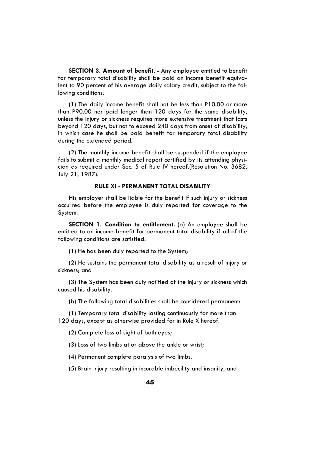**SECTION 3. Amount of benefit. -** Any employee entitled to benefit for temporary total disability shall be paid an income benefit equivalent to 90 percent of his average daily salary credit, subject to the following conditions:

(1) The daily income benefit shall not be less than P10.00 or more than P90.00 nor paid longer than 120 days for the same disability, unless the injury or sickness requires more extensive treatment that lasts beyond 120 days, but not to exceed 240 days from onset of disability, in which case he shall be paid benefit for temporary total disability during the extended period.

(2) The monthly income benefit shall be suspended if the employee fails to submit a monthly medical report certified by its attending physician as required under Sec. 5 of Rule IV hereof.(Resolution No. 3682, July 21, 1987).

#### **RULE XI - PERMANENT TOTAL DISABILITY**

His employer shall be liable for the benefit if such injury or sickness occurred before the employee is duly reported for coverage to the System.

**SECTION 1. Condition to entitlement.** (a) An employee shall be entitled to an income benefit for permanent total disability if all of the following conditions are satisfied:

(1) He has been duly reported to the System;

(2) He sustains the permanent total disability as a result of injury or sickness; and

(3) The System has been duly notified of the injury or sickness which caused his disability.

(b) The following total disabilities shall be considered permanent:

(1) Temporary total disability lasting continuously for more than 120 days, except as otherwise provided for in Rule X hereof.

(2) Complete loss of sight of both eyes;

(3) Loss of two limbs at or above the ankle or wrist;

(4) Permanent complete paralysis of two limbs.

(5) Brain injury resulting in incurable imbecility and insanity, and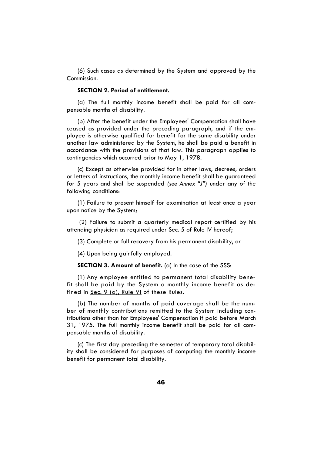(6) Such cases as determined by the System and approved by the Commission.

# **SECTION 2. Period of entitlement.**

(a) The full monthly income benefit shall be paid for all compensable months of disability.

(b) After the benefit under the Employees' Compensation shall have ceased as provided under the preceding paragraph, and if the employee is otherwise qualified for benefit for the same disability under another law administered by the System, he shall be paid a benefit in accordance with the provisions of that law. This paragraph applies to contingencies which occurred prior to May 1, 1978.

(c) Except as otherwise provided for in other laws, decrees, orders or letters of instructions, the monthly income benefit shall be guaranteed for 5 years and shall be suspended *(see Annex "J")* under any of the following conditions:

(1) Failure to present himself for examination at least once a year upon notice by the System;

 (2) Failure to submit a quarterly medical report certified by his attending physician as required under Sec. 5 of Rule IV hereof;

(3) Complete or full recovery from his permanent disability, or

(4) Upon being gainfully employed.

**SECTION 3. Amount of benefit.** (a) In the case of the SSS:

(1) Any employee entitled to permanent total disability benefit shall be paid by the System a monthly income benefit as defined in Sec. 9 (a), Rule VI of these Rules.

(b) The number of months of paid coverage shall be the number of monthly contributions remitted to the System including contributions other than for Employees' Compensation if paid before March 31, 1975. The full monthly income benefit shall be paid for all compensable months of disability.

(c) The first day preceding the semester of temporary total disability shall be considered for purposes of computing the monthly income benefit for permanent total disability.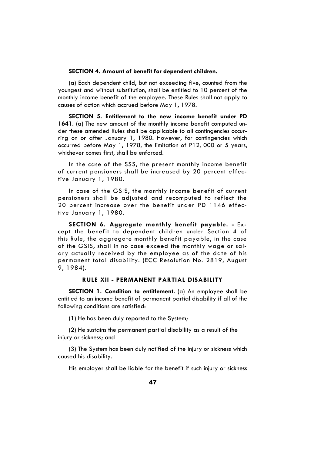# **SECTION 4. Amount of benefit for dependent children.**

(a) Each dependent child, but not exceeding five, counted from the youngest and without substitution, shall be entitled to 10 percent of the monthly income benefit of the employee. These Rules shall not apply to causes of action which accrued before May 1, 1978.

**SECTION 5. Entitlement to the new income benefit under PD 1641.** (a) The new amount of the monthly income benefit computed under these amended Rules shall be applicable to all contingencies occurring on or after January 1, 1980. However, for contingencies which occurred before May 1, 1978, the limitation of P12, 000 or 5 years, whichever comes first, shall be enforced.

In the case of the SSS, the present monthly income benefit of current pensioners shall be increased by 20 percent effective January 1, 1980.

In case of the GSIS, the monthly income benefit of current pensioners shall be adjusted and recomputed to reflect the 20 percent increase over the benefit under PD 1146 effective January 1, 1980.

**SECTION 6. Aggregate monthly benefit payable. -** Except the benefit to dependent children under Section 4 of this Rule, the aggregate monthly benefit payable, in the case of the GSIS, shall in no case exceed the monthly wage or salary actually received by the employee as of the date of his permanent total disability. (ECC Resolution No. 2819, August 9, 1984).

### **RULE XII - PERMANENT PARTIAL DISABILITY**

**SECTION 1. Condition to entitlement.** (a) An employee shall be entitled to an income benefit of permanent partial disability if all of the following conditions are satisfied:

(1) He has been duly reported to the System;

(2) He sustains the permanent partial disability as a result of the injury or sickness; and

(3) The System has been duly notified of the injury or sickness which caused his disability.

His employer shall be liable for the benefit if such injury or sickness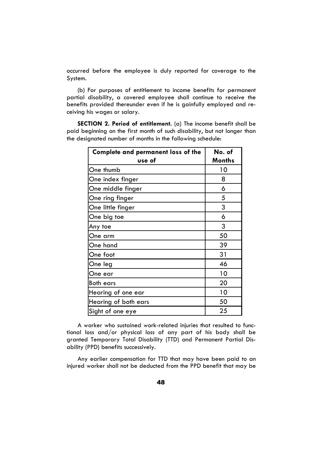occurred before the employee is duly reported for coverage to the System.

(b) For purposes of entitlement to income benefits for permanent partial disability, a covered employee shall continue to receive the benefits provided thereunder even if he is gainfully employed and receiving his wages or salary.

**SECTION 2. Period of entitlement.** (a) The income benefit shall be paid beginning on the first month of such disability, but not longer than the designated number of months in the following schedule:

| Complete and permanent loss of the | No. of |
|------------------------------------|--------|
| use of                             | Months |
| One thumb                          | 10     |
| One index finger                   | 8      |
| One middle finger                  | 6      |
| One ring finger                    | 5      |
| One little finger                  | 3      |
| One big toe                        | 6      |
| Any toe                            | 3      |
| One arm                            | 50     |
| One hand                           | 39     |
| One foot                           | 31     |
| One leg                            | 46     |
| One ear                            | 10     |
| Both ears                          | 20     |
| Hearing of one ear                 | 10     |
| Hearing of both ears               | 50     |
| Sight of one eye                   | 25     |

A worker who sustained work-related injuries that resulted to functional loss and/or physical loss of any part of his body shall be granted Temporary Total Disability (TTD) and Permanent Partial Disability (PPD) benefits successively.

Any earlier compensation for TTD that may have been paid to an injured worker shall not be deducted from the PPD benefit that may be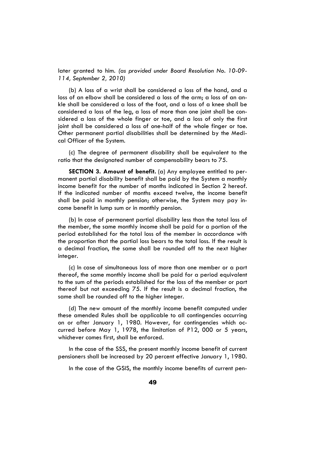later granted to him. *(as provided under Board Resolution No. 10-09- 114, September 2, 2010)* 

(b) A loss of a wrist shall be considered a loss of the hand, and a loss of an elbow shall be considered a loss of the arm; a loss of an ankle shall be considered a loss of the foot, and a loss of a knee shall be considered a loss of the leg, a loss of more than one joint shall be considered a loss of the whole finger or toe, and a loss of only the first joint shall be considered a loss of one-half of the whole finger or toe. Other permanent partial disabilities shall be determined by the Medical Officer of the System.

(c) The degree of permanent disability shall be equivalent to the ratio that the designated number of compensability bears to 75.

**SECTION 3. Amount of benefit.** (a) Any employee entitled to permanent partial disability benefit shall be paid by the System a monthly income benefit for the number of months indicated in Section 2 hereof. If the indicated number of months exceed twelve, the income benefit shall be paid in monthly pension; otherwise, the System may pay income benefit in lump sum or in monthly pension.

(b) In case of permanent partial disability less than the total loss of the member, the same monthly income shall be paid for a portion of the period established for the total loss of the member in accordance with the proportion that the partial loss bears to the total loss. If the result is a decimal fraction, the same shall be rounded off to the next higher integer.

(c) In case of simultaneous loss of more than one member or a part thereof, the same monthly income shall be paid for a period equivalent to the sum of the periods established for the loss of the member or part thereof but not exceeding 75. If the result is a decimal fraction, the same shall be rounded off to the higher integer.

(d) The new amount of the monthly income benefit computed under these amended Rules shall be applicable to all contingencies occurring on or after January 1, 1980. However, for contingencies which occurred before May 1, 1978, the limitation of P12, 000 or 5 years, whichever comes first, shall be enforced.

In the case of the SSS, the present monthly income benefit of current pensioners shall be increased by 20 percent effective January 1, 1980.

In the case of the GSIS, the monthly income benefits of current pen-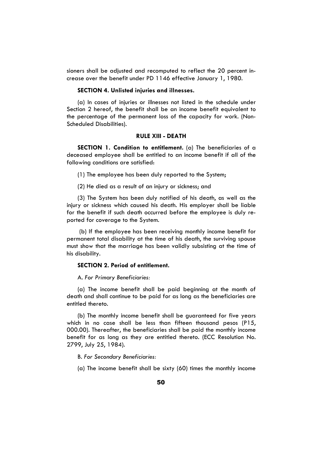sioners shall be adjusted and recomputed to reflect the 20 percent increase over the benefit under PD 1146 effective January 1, 1980.

# **SECTION 4. Unlisted injuries and illnesses.**

(a) In cases of injuries or illnesses not listed in the schedule under Section 2 hereof, the benefit shall be an income benefit equivalent to the percentage of the permanent loss of the capacity for work. (Non-Scheduled Disabilities).

# **RULE XIII - DEATH**

**SECTION 1. Condition to entitlement.** (a) The beneficiaries of a deceased employee shall be entitled to an income benefit if all of the following conditions are satisfied:

(1) The employee has been duly reported to the System;

(2) He died as a result of an injury or sickness; and

(3) The System has been duly notified of his death, as well as the injury or sickness which caused his death. His employer shall be liable for the benefit if such death occurred before the employee is duly reported for coverage to the System.

 (b) If the employee has been receiving monthly income benefit for permanent total disability at the time of his death, the surviving spouse must show that the marriage has been validly subsisting at the time of his disability.

# **SECTION 2. Period of entitlement.**

A. *For Primary Beneficiaries:*

(a) The income benefit shall be paid beginning at the month of death and shall continue to be paid for as long as the beneficiaries are entitled thereto.

(b) The monthly income benefit shall be guaranteed for five years which in no case shall be less than fifteen thousand pesos (P15, 000.00). Thereafter, the beneficiaries shall be paid the monthly income benefit for as long as they are entitled thereto. (ECC Resolution No. 2799, July 25, 1984).

B. *For Secondary Beneficiaries:*

(a) The income benefit shall be sixty (60) times the monthly income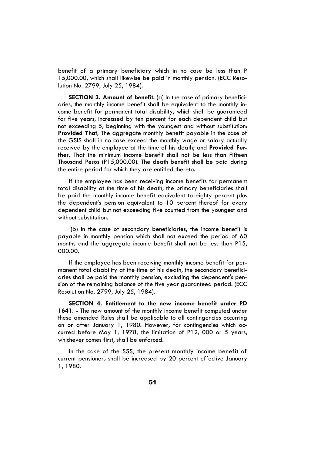benefit of a primary beneficiary which in no case be less than P 15,000.00, which shall likewise be paid in monthly pension. (ECC Resolution No. 2799, July 25, 1984).

**SECTION 3. Amount of benefit.** (a) In the case of primary beneficiaries, the monthly income benefit shall be equivalent to the monthly income benefit for permanent total disability, which shall be guaranteed for five years, increased by ten percent for each dependent child but not exceeding 5, beginning with the youngest and without substitution: **Provided That,** The aggregate monthly benefit payable in the case of the GSIS shall in no case exceed the monthly wage or salary actually received by the employee at the time of his death; and **Provided Further,** That the minimum income benefit shall not be less than Fifteen Thousand Pesos (P15,000.00). The death benefit shall be paid during the entire period for which they are entitled thereto.

If the employee has been receiving income benefits for permanent total disability at the time of his death, the primary beneficiaries shall be paid the monthly income benefit equivalent to eighty percent plus the dependent's pension equivalent to 10 percent thereof for every dependent child but not exceeding five counted from the youngest and without substitution.

 (b) In the case of secondary beneficiaries, the income benefit is payable in monthly pension which shall not exceed the period of 60 months and the aggregate income benefit shall not be less than P15, 000.00.

If the employee has been receiving monthly income benefit for permanent total disability at the time of his death, the secondary beneficiaries shall be paid the monthly pension, excluding the dependent's pension of the remaining balance of the five year guaranteed period. (ECC Resolution No. 2799, July 25, 1984).

**SECTION 4. Entitlement to the new income benefit under PD 1641. -** The new amount of the monthly income benefit computed under these amended Rules shall be applicable to all contingencies occurring on or after January 1, 1980. However, for contingencies which occurred before May 1, 1978, the limitation of P12, 000 or 5 years, whichever comes first, shall be enforced.

In the case of the SSS, the present monthly income benefit of current pensioners shall be increased by 20 percent effective January 1, 1980.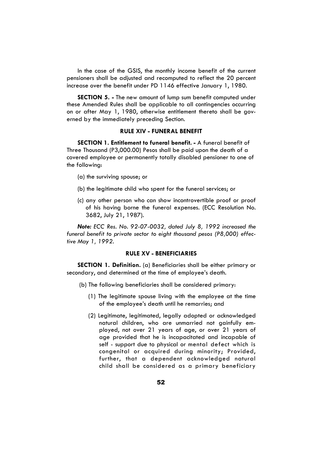In the case of the GSIS, the monthly income benefit of the current pensioners shall be adjusted and recomputed to reflect the 20 percent increase over the benefit under PD 1146 effective January 1, 1980.

**SECTION 5. -** The new amount of lump sum benefit computed under these Amended Rules shall be applicable to all contingencies occurring on or after May 1, 1980, otherwise entitlement thereto shall be governed by the immediately preceding Section.

# **RULE XIV - FUNERAL BENEFIT**

**SECTION 1. Entitlement to funeral benefit. -** A funeral benefit of Three Thousand (P3,000.00) Pesos shall be paid upon the death of a covered employee or permanently totally disabled pensioner to one of the following:

- (a) the surviving spouse; or
- (b) the legitimate child who spent for the funeral services; or
- (c) any other person who can show incontrovertible proof or proof of his having borne the funeral expenses. (ECC Resolution No. 3682, July 21, 1987).

*Note: ECC Res. No. 92-07-0032, dated July 8, 1992 increased the funeral benefit to private sector to eight thousand pesos (P8,000) effective May 1, 1992.* 

# **RULE XV - BENEFICIARIES**

**SECTION 1. Definition.** (a) Beneficiaries shall be either primary or secondary, and determined at the time of employee's death.

- (b) The following beneficiaries shall be considered primary:
	- (1) The legitimate spouse living with the employee at the time of the employee's death until he remarries; and
	- (2) Legitimate, legitimated, legally adopted or acknowledged natural children, who are unmarried not gainfully employed, not over 21 years of age, or over 21 years of age provided that he is incapacitated and incapable of self - support due to physical or mental defect which is congenital or acquired during minority; Provided, further, that a dependent acknowledged natural child shall be considered as a primary beneficiary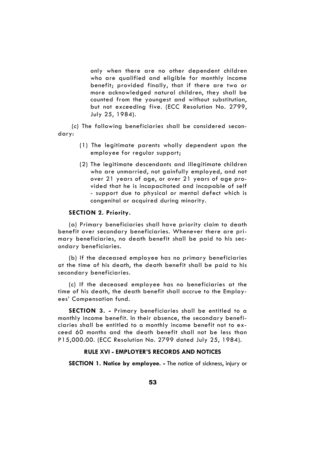only when there are no other dependent children who are qualified and eligible for monthly income benefit; provided finally, that if there are two or more acknowledged natural children, they shall be counted from the youngest and without substitution, but not exceeding five. (ECC Resolution No. 2799, July 25, 1984).

 (c) The following beneficiaries shall be considered secondary:

- (1) The legitimate parents wholly dependent upon the employee for regular support;
- (2) The legitimate descendants and illegitimate children who are unmarried, not gainfully employed, and not over 21 years of age, or over 21 years of age provided that he is incapacitated and incapable of self - support due to physical or mental defect which is congenital or acquired during minority.

#### **SECTION 2. Priority.**

(a) Primary beneficiaries shall have priority claim to death benefit over secondary beneficiaries. Whenever there are primary beneficiaries, no death benefit shall be paid to his secondary beneficiaries.

(b) If the deceased employee has no primary beneficiaries at the time of his death, the death benefit shall be paid to his secondary beneficiaries.

(c) If the deceased employee has no beneficiaries at the time of his death, the death benefit shall accrue to the Employees' Compensation fund.

**SECTION 3. -** Primary beneficiaries shall be entitled to a monthly income benefit. In their absence, the secondary beneficiaries shall be entitled to a monthly income benefit not to exceed 60 months and the death benefit shall not be less than P15,000.00. (ECC Resolution No. 2799 dated July 25, 1984).

# **RULE XVI - EMPLOYER'S RECORDS AND NOTICES**

**SECTION 1. Notice by employee. -** The notice of sickness, injury or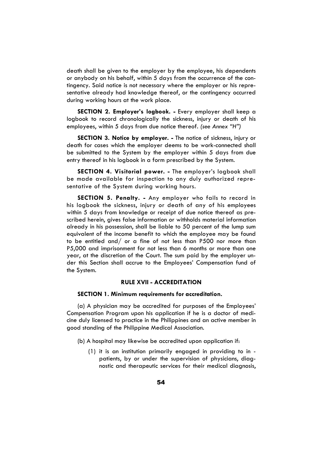death shall be given to the employer by the employee, his dependents or anybody on his behalf, within 5 days from the occurrence of the contingency. Said notice is not necessary where the employer or his representative already had knowledge thereof, or the contingency occurred during working hours at the work place.

**SECTION 2. Employer's logbook. -** Every employer shall keep a logbook to record chronologically the sickness, injury or death of his employees, within 5 days from due notice thereof. *(see Annex "H")* 

**SECTION 3. Notice by employer. -** The notice of sickness, injury or death for cases which the employer deems to be work-connected shall be submitted to the System by the employer within 5 days from due entry thereof in his logbook in a form prescribed by the System.

**SECTION 4. Visitorial power. -** The employer's logbook shall be made available for inspection to any duly authorized representative of the System during working hours.

**SECTION 5. Penalty. -** Any employer who fails to record in his logbook the sickness, injury or death of any of his employees within 5 days from knowledge or receipt of due notice thereof as prescribed herein, gives false information or withholds material information already in his possession, shall be liable to 50 percent of the lump sum equivalent of the income benefit to which the employee may be found to be entitled and/ or a fine of not less than P500 nor more than P5,000 and imprisonment for not less than 6 months or more than one year, at the discretion of the Court. The sum paid by the employer under this Section shall accrue to the Employees' Compensation fund of the System.

# **RULE XVII - ACCREDITATION**

# **SECTION 1. Minimum requirements for accreditation.**

(a) A physician may be accredited for purposes of the Employees' Compensation Program upon his application if he is a doctor of medicine duly licensed to practice in the Philippines and an active member in good standing of the Philippine Medical Association.

(b) A hospital may likewise be accredited upon application if:

(1) it is an institution primarily engaged in providing to in patients, by or under the supervision of physicians, diagnostic and therapeutic services for their medical diagnosis,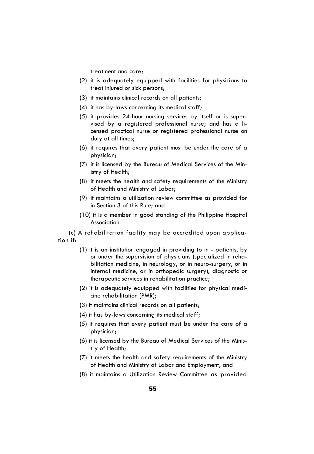treatment and care;

- (2) it is adequately equipped with facilities for physicians to treat injured or sick persons;
- (3) it maintains clinical records on all patients;
- (4) it has by-laws concerning its medical staff;
- (5) it provides 24-hour nursing services by itself or is supervised by a registered professional nurse; and has a licensed practical nurse or registered professional nurse on duty at all times;
- (6) it requires that every patient must be under the care of a physician;
- (7) it is licensed by the Bureau of Medical Services of the Ministry of Health;
- (8) it meets the health and safety requirements of the Ministry of Health and Ministry of Labor;
- (9) it maintains a utilization review committee as provided for in Section 3 of this Rule; and
- (10) it is a member in good standing of the Philippine Hospital Association.

(c) A rehabilitation facility may be accredited upon application if:

- (1) it is an institution engaged in providing to in patients, by or under the supervision of physicians (specialized in rehabilitation medicine, in neurology, or in neuro-surgery, or in internal medicine, or in orthopedic surgery), diagnostic or therapeutic services in rehabilitation practice;
- (2) it is adequately equipped with facilities for physical medicine rehabilitation (PMR);
- (3) it maintains clinical records on all patients;
- (4) it has by-laws concerning its medical staff;
- (5) it requires that every patient must be under the care of a physician;
- (6) it is licensed by the Bureau of Medical Services of the Ministry of Health;
- (7) it meets the health and safety requirements of the Ministry of Health and Ministry of Labor and Employment; and
- (8) it maintains a Utilization Review Committee as provided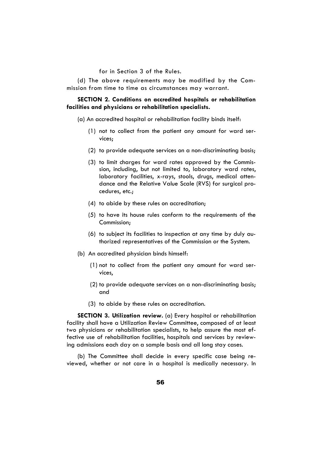for in Section 3 of the Rules.

(d) The above requirements may be modified by the Commission from time to time as circumstances may warrant.

# **SECTION 2. Conditions on accredited hospitals or rehabilitation facilities and physicians or rehabilitation specialists.**

- (a) An accredited hospital or rehabilitation facility binds itself:
	- (1) not to collect from the patient any amount for ward services;
	- (2) to provide adequate services on a non-discriminating basis;
	- (3) to limit charges for ward rates approved by the Commission, including, but not limited to, laboratory ward rates, laboratory facilities, x-rays, stools, drugs, medical attendance and the Relative Value Scale (RVS) for surgical procedures, etc.;
	- (4) to abide by these rules on accreditation;
	- (5) to have its house rules conform to the requirements of the Commission;
	- (6) to subject its facilities to inspection at any time by duly authorized representatives of the Commission or the System.
- (b) An accredited physician binds himself:
	- (1) not to collect from the patient any amount for ward services,
	- (2) to provide adequate services on a non-discriminating basis; and
	- (3) to abide by these rules on accreditation.

**SECTION 3. Utilization review.** (a) Every hospital or rehabilitation facility shall have a Utilization Review Committee, composed of at least two physicians or rehabilitation specialists, to help assure the most effective use of rehabilitation facilities, hospitals and services by reviewing admissions each day on a sample basis and all long stay cases.

(b) The Committee shall decide in every specific case being reviewed, whether or not care in a hospital is medically necessary. In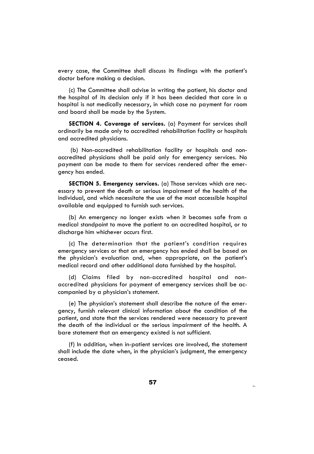every case, the Committee shall discuss its findings with the patient's doctor before making a decision.

(c) The Committee shall advise in writing the patient, his doctor and the hospital of its decision only if it has been decided that care in a hospital is not medically necessary, in which case no payment for room and board shall be made by the System.

**SECTION 4. Coverage of services.** (a) Payment for services shall ordinarily be made only to accredited rehabilitation facility or hospitals and accredited physicians.

 (b) Non-accredited rehabilitation facility or hospitals and nonaccredited physicians shall be paid only for emergency services. No payment can be made to them for services rendered after the emergency has ended.

**SECTION 5. Emergency services.** (a) Those services which are necessary to prevent the death or serious impairment of the health of the individual, and which necessitate the use of the most accessible hospital available and equipped to furnish such services.

(b) An emergency no longer exists when it becomes safe from a medical standpoint to move the patient to an accredited hospital, or to discharge him whichever occurs first.

(c) The determination that the patient's condition requires emergency services or that an emergency has ended shall be based on the physician's evaluation and, when appropriate, on the patient's medical record and other additional data furnished by the hospital.

(d) Claims filed by non-accredited hospital and nonaccredited physicians for payment of emergency services shall be accompanied by a physician's statement.

(e) The physician's statement shall describe the nature of the emergency, furnish relevant clinical information about the condition of the patient, and state that the services rendered were necessary to prevent the death of the individual or the serious impairment of the health. A bare statement that an emergency existed is not sufficient.

(f) In addition, when in-patient services are involved, the statement shall include the date when, in the physician's judgment, the emergency ceased.

Qgene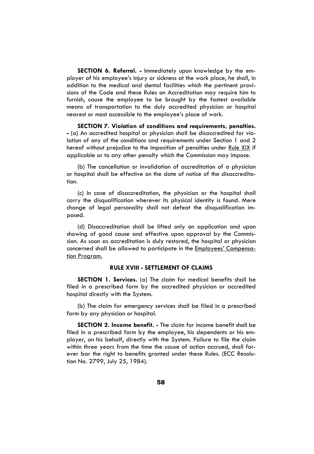**SECTION 6. Referral. -** Immediately upon knowledge by the employer of his employee's injury or sickness at the work place, he shall, in addition to the medical and dental facilities which the pertinent provisions of the Code and these Rules on Accreditation may require him to furnish, cause the employee to be brought by the fastest available means of transportation to the duly accredited physician or hospital nearest or most accessible to the employee's place of work.

**SECTION 7. Violation of conditions and requirements, penalties. -** (a) An accredited hospital or physician shall be disaccredited for violation of any of the conditions and requirements under Section 1 and 2 hereof without prejudice to the imposition of penalties under Rule XIX if applicable or to any other penalty which the Commission may impose.

(b) The cancellation or invalidation of accreditation of a physician or hospital shall be effective on the date of notice of the disaccreditation.

(c) In case of disaccreditation, the physician or the hospital shall carry the disqualification wherever its physical identity is found. Mere change of legal personality shall not defeat the disqualification imposed.

(d) Disaccreditation shall be lifted only on application and upon showing of good cause and effective upon approval by the Commission. As soon as accreditation is duly restored, the hospital or physician concerned shall be allowed to participate in the Employees' Compensation Program.

# **RULE XVIII - SETTLEMENT OF CLAIMS**

**SECTION 1. Services.** (a) The claim for medical benefits shall be filed in a prescribed form by the accredited physician or accredited hospital directly with the System.

(b) The claim for emergency services shall be filed in a prescribed form by any physician or hospital.

**SECTION 2. Income benefit. -** The claim for income benefit shall be filed in a prescribed form by the employee, his dependents or his employer, on his behalf, directly with the System. Failure to file the claim within three years from the time the cause of action accrued, shall forever bar the right to benefits granted under these Rules. (ECC Resolution No. 2799, July 25, 1984).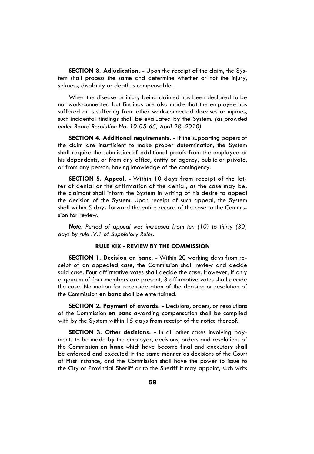**SECTION 3. Adjudication. -** Upon the receipt of the claim, the System shall process the same and determine whether or not the injury, sickness, disability or death is compensable.

When the disease or injury being claimed has been declared to be not work-connected but findings are also made that the employee has suffered or is suffering from other work-connected diseases or injuries, such incidental findings shall be evaluated by the System. *(as provided under Board Resolution No. 10-05-65, April 28, 2010)* 

**SECTION 4. Additional requirements. -** If the supporting papers of the claim are insufficient to make proper determination, the System shall require the submission of additional proofs from the employee or his dependents, or from any office, entity or agency, public or private, or from any person, having knowledge of the contingency.

**SECTION 5. Appeal. -** Within 10 days from receipt of the letter of denial or the affirmation of the denial, as the case may be, the claimant shall inform the System in writing of his desire to appeal the decision of the System. Upon receipt of such appeal, the System shall within 5 days forward the entire record of the case to the Commission for review.

*Note: Period of appeal was increased from ten (10) to thirty (30) days by rule IV.1 of Suppletory Rules.* 

# **RULE XIX - REVIEW BY THE COMMISSION**

**SECTION 1. Decision en banc. -** Within 20 working days from receipt of an appealed case, the Commission shall review and decide said case. Four affirmative votes shall decide the case. However, if only a qourum of four members are present, 3 affirmative votes shall decide the case. No motion for reconsideration of the decision or resolution of the Commission **en banc** shall be entertained.

**SECTION 2. Payment of awards. -** Decisions, orders, or resolutions of the Commission **en banc** awarding compensation shall be complied with by the System within 15 days from receipt of the notice thereof.

**SECTION 3. Other decisions. -** In all other cases involving payments to be made by the employer, decisions, orders and resolutions of the Commission **en banc** which have become final and executory shall be enforced and executed in the same manner as decisions of the Court of First Instance, and the Commission shall have the power to issue to the City or Provincial Sheriff or to the Sheriff it may appoint, such writs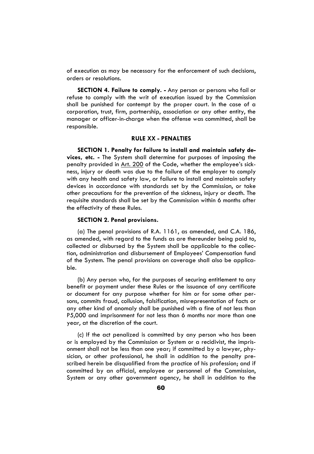of execution as may be necessary for the enforcement of such decisions, orders or resolutions.

**SECTION 4. Failure to comply. -** Any person or persons who fail or refuse to comply with the writ of execution issued by the Commission shall be punished for contempt by the proper court. In the case of a corporation, trust, firm, partnership, association or any other entity, the manager or officer-in-charge when the offense was committed, shall be responsible.

# **RULE XX - PENALTIES**

**SECTION 1. Penalty for failure to install and maintain safety devices, etc. -** The System shall determine for purposes of imposing the penalty provided in Art. 200 of the Code, whether the employee's sickness, injury or death was due to the failure of the employer to comply with any health and safety law, or failure to install and maintain safety devices in accordance with standards set by the Commission, or take other precautions for the prevention of the sickness, injury or death. The requisite standards shall be set by the Commission within 6 months after the effectivity of these Rules.

# **SECTION 2. Penal provisions.**

(a) The penal provisions of R.A. 1161, as amended, and C.A. 186, as amended, with regard to the funds as are thereunder being paid to, collected or disbursed by the System shall be applicable to the collection, administration and disbursement of Employees' Compensation fund of the System. The penal provisions on coverage shall also be applicable.

(b) Any person who, for the purposes of securing entitlement to any benefit or payment under these Rules or the issuance of any certificate or document for any purpose whether for him or for some other persons, commits fraud, collusion, falsification, misrepresentation of facts or any other kind of anomaly shall be punished with a fine of not less than P5,000 and imprisonment for not less than 6 months nor more than one year, at the discretion of the court.

(c) If the act penalized is committed by any person who has been or is employed by the Commission or System or a recidivist, the imprisonment shall not be less than one year; if committed by a lawyer, physician, or other professional, he shall in addition to the penalty prescribed herein be disqualified from the practice of his profession; and if committed by an official, employee or personnel of the Commission, System or any other government agency, he shall in addition to the